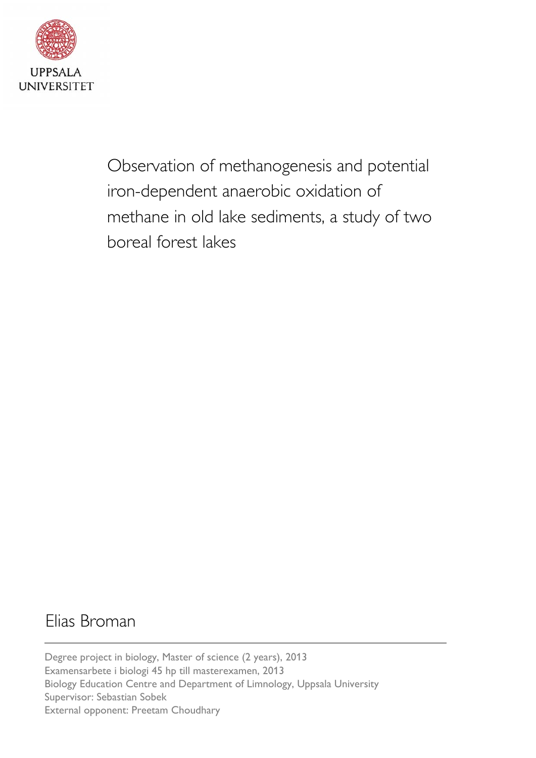

Observation of methanogenesis and potential iron-dependent anaerobic oxidation of methane in old lake sediments, a study of two boreal forest lakes

# Elias Broman

Degree project in biology, Master of science (2 years), 2013 Examensarbete i biologi 45 hp till masterexamen, 2013 Biology Education Centre and Department of Limnology, Uppsala University Supervisor: Sebastian Sobek External opponent: Preetam Choudhary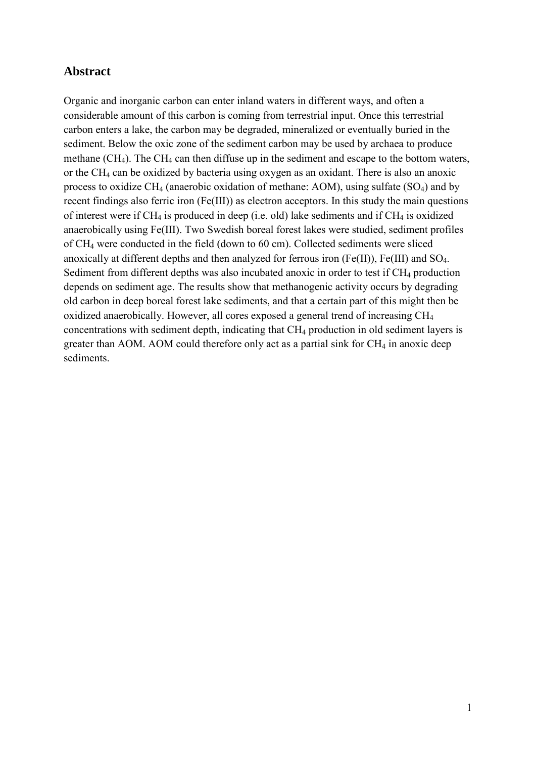# <span id="page-1-0"></span>**Abstract**

Organic and inorganic carbon can enter inland waters in different ways, and often a considerable amount of this carbon is coming from terrestrial input. Once this terrestrial carbon enters a lake, the carbon may be degraded, mineralized or eventually buried in the sediment. Below the oxic zone of the sediment carbon may be used by archaea to produce methane  $(CH_4)$ . The CH<sub>4</sub> can then diffuse up in the sediment and escape to the bottom waters, or the  $CH_4$  can be oxidized by bacteria using oxygen as an oxidant. There is also an anoxic process to oxidize  $CH_4$  (anaerobic oxidation of methane: AOM), using sulfate  $(SO_4)$  and by recent findings also ferric iron (Fe(III)) as electron acceptors. In this study the main questions of interest were if  $CH_4$  is produced in deep (i.e. old) lake sediments and if  $CH_4$  is oxidized anaerobically using Fe(III). Two Swedish boreal forest lakes were studied, sediment profiles of CH<sup>4</sup> were conducted in the field (down to 60 cm). Collected sediments were sliced anoxically at different depths and then analyzed for ferrous iron  $(Fe(II))$ ,  $Fe(III)$  and  $SO<sub>4</sub>$ . Sediment from different depths was also incubated anoxic in order to test if CH<sub>4</sub> production depends on sediment age. The results show that methanogenic activity occurs by degrading old carbon in deep boreal forest lake sediments, and that a certain part of this might then be oxidized anaerobically. However, all cores exposed a general trend of increasing CH<sup>4</sup> concentrations with sediment depth, indicating that CH<sup>4</sup> production in old sediment layers is greater than AOM. AOM could therefore only act as a partial sink for  $CH<sub>4</sub>$  in anoxic deep sediments.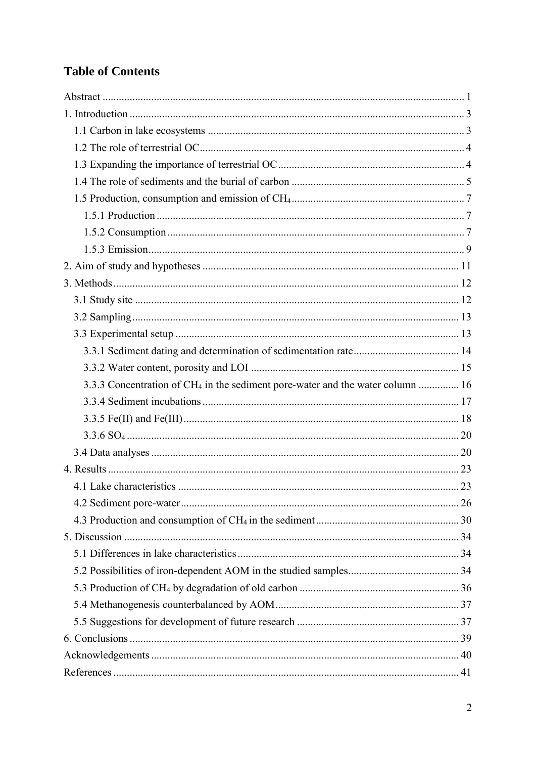# **Table of Contents**

| 3.3.3 Concentration of CH <sub>4</sub> in the sediment pore-water and the water column  16 |  |
|--------------------------------------------------------------------------------------------|--|
|                                                                                            |  |
|                                                                                            |  |
|                                                                                            |  |
|                                                                                            |  |
|                                                                                            |  |
|                                                                                            |  |
|                                                                                            |  |
|                                                                                            |  |
|                                                                                            |  |
|                                                                                            |  |
|                                                                                            |  |
|                                                                                            |  |
|                                                                                            |  |
|                                                                                            |  |
|                                                                                            |  |
|                                                                                            |  |
|                                                                                            |  |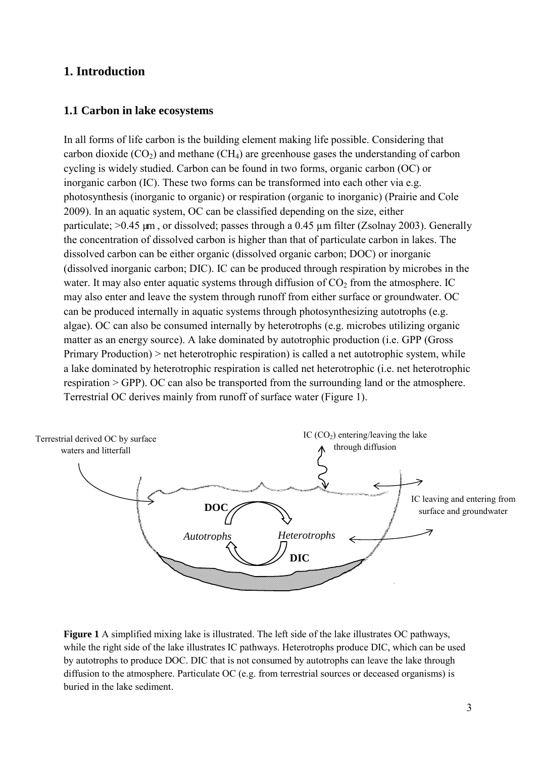# <span id="page-3-0"></span>**1. Introduction**

### <span id="page-3-1"></span>**1.1 Carbon in lake ecosystems**

In all forms of life carbon is the building element making life possible. Considering that carbon dioxide  $(CO_2)$  and methane  $(CH_4)$  are greenhouse gases the understanding of carbon cycling is widely studied. Carbon can be found in two forms, organic carbon (OC) or inorganic carbon (IC). These two forms can be transformed into each other via e.g. photosynthesis (inorganic to organic) or respiration (organic to inorganic) (Prairie and Cole 2009). In an aquatic system, OC can be classified depending on the size, either particulate;  $>0.45 \mu m$ , or dissolved; passes through a 0.45  $\mu m$  filter (Zsolnay 2003). Generally the concentration of dissolved carbon is higher than that of particulate carbon in lakes. The dissolved carbon can be either organic (dissolved organic carbon; DOC) or inorganic (dissolved inorganic carbon; DIC). IC can be produced through respiration by microbes in the water. It may also enter aquatic systems through diffusion of  $CO<sub>2</sub>$  from the atmosphere. IC may also enter and leave the system through runoff from either surface or groundwater. OC can be produced internally in aquatic systems through photosynthesizing autotrophs (e.g. algae). OC can also be consumed internally by heterotrophs (e.g. microbes utilizing organic matter as an energy source). A lake dominated by autotrophic production (i.e. GPP (Gross Primary Production) > net heterotrophic respiration) is called a net autotrophic system, while a lake dominated by heterotrophic respiration is called net heterotrophic (i.e. net heterotrophic respiration > GPP). OC can also be transported from the surrounding land or the atmosphere. Terrestrial OC derives mainly from runoff of surface water (Figure 1).



**Figure 1** A simplified mixing lake is illustrated. The left side of the lake illustrates OC pathways, while the right side of the lake illustrates IC pathways. Heterotrophs produce DIC, which can be used by autotrophs to produce DOC. DIC that is not consumed by autotrophs can leave the lake through diffusion to the atmosphere. Particulate OC (e.g. from terrestrial sources or deceased organisms) is buried in the lake sediment.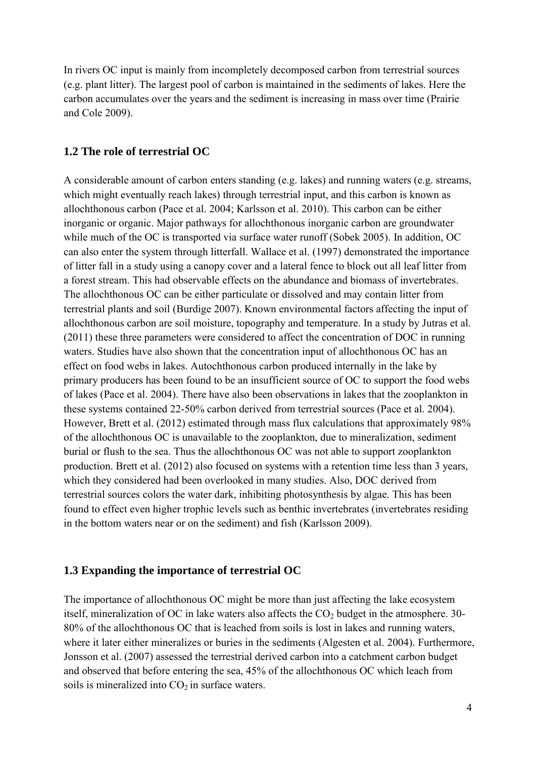In rivers OC input is mainly from incompletely decomposed carbon from terrestrial sources (e.g. plant litter). The largest pool of carbon is maintained in the sediments of lakes. Here the carbon accumulates over the years and the sediment is increasing in mass over time (Prairie and Cole 2009).

# <span id="page-4-0"></span>**1.2 The role of terrestrial OC**

A considerable amount of carbon enters standing (e.g. lakes) and running waters (e.g. streams, which might eventually reach lakes) through terrestrial input, and this carbon is known as allochthonous carbon (Pace et al. 2004; Karlsson et al. 2010). This carbon can be either inorganic or organic. Major pathways for allochthonous inorganic carbon are groundwater while much of the OC is transported via surface water runoff (Sobek 2005). In addition, OC can also enter the system through litterfall. Wallace et al. (1997) demonstrated the importance of litter fall in a study using a canopy cover and a lateral fence to block out all leaf litter from a forest stream. This had observable effects on the abundance and biomass of invertebrates. The allochthonous OC can be either particulate or dissolved and may contain litter from terrestrial plants and soil (Burdige 2007). Known environmental factors affecting the input of allochthonous carbon are soil moisture, topography and temperature. In a study by Jutras et al. (2011) these three parameters were considered to affect the concentration of DOC in running waters. Studies have also shown that the concentration input of allochthonous OC has an effect on food webs in lakes. Autochthonous carbon produced internally in the lake by primary producers has been found to be an insufficient source of OC to support the food webs of lakes (Pace et al. 2004). There have also been observations in lakes that the zooplankton in these systems contained 22-50% carbon derived from terrestrial sources (Pace et al. 2004). However, Brett et al. (2012) estimated through mass flux calculations that approximately 98% of the allochthonous OC is unavailable to the zooplankton, due to mineralization, sediment burial or flush to the sea. Thus the allochthonous OC was not able to support zooplankton production. Brett et al. (2012) also focused on systems with a retention time less than 3 years, which they considered had been overlooked in many studies. Also, DOC derived from terrestrial sources colors the water dark, inhibiting photosynthesis by algae. This has been found to effect even higher trophic levels such as benthic invertebrates (invertebrates residing in the bottom waters near or on the sediment) and fish (Karlsson 2009).

### <span id="page-4-1"></span>**1.3 Expanding the importance of terrestrial OC**

The importance of allochthonous OC might be more than just affecting the lake ecosystem itself, mineralization of OC in lake waters also affects the  $CO<sub>2</sub>$  budget in the atmosphere. 30-80% of the allochthonous OC that is leached from soils is lost in lakes and running waters, where it later either mineralizes or buries in the sediments (Algesten et al. 2004). Furthermore, Jonsson et al. (2007) assessed the terrestrial derived carbon into a catchment carbon budget and observed that before entering the sea, 45% of the allochthonous OC which leach from soils is mineralized into  $CO<sub>2</sub>$  in surface waters.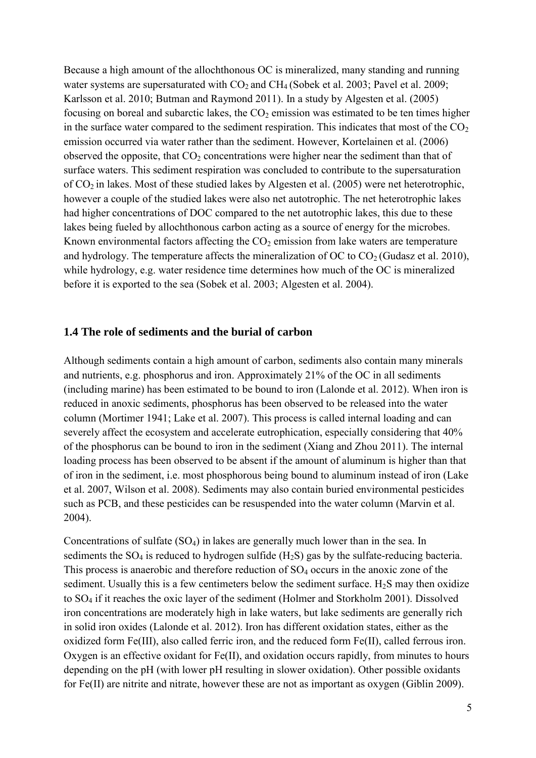Because a high amount of the allochthonous OC is mineralized, many standing and running water systems are supersaturated with  $CO_2$  and  $CH_4$  (Sobek et al. 2003; Pavel et al. 2009; Karlsson et al. 2010; Butman and Raymond 2011). In a study by Algesten et al. (2005) focusing on boreal and subarctic lakes, the  $CO<sub>2</sub>$  emission was estimated to be ten times higher in the surface water compared to the sediment respiration. This indicates that most of the  $CO<sub>2</sub>$ emission occurred via water rather than the sediment. However, Kortelainen et al. (2006) observed the opposite, that  $CO<sub>2</sub>$  concentrations were higher near the sediment than that of surface waters. This sediment respiration was concluded to contribute to the supersaturation of CO2 in lakes. Most of these studied lakes by Algesten et al. (2005) were net heterotrophic, however a couple of the studied lakes were also net autotrophic. The net heterotrophic lakes had higher concentrations of DOC compared to the net autotrophic lakes, this due to these lakes being fueled by allochthonous carbon acting as a source of energy for the microbes. Known environmental factors affecting the  $CO<sub>2</sub>$  emission from lake waters are temperature and hydrology. The temperature affects the mineralization of OC to  $CO<sub>2</sub>$  (Gudasz et al. 2010), while hydrology, e.g. water residence time determines how much of the OC is mineralized before it is exported to the sea (Sobek et al. 2003; Algesten et al. 2004).

#### <span id="page-5-0"></span>**1.4 The role of sediments and the burial of carbon**

Although sediments contain a high amount of carbon, sediments also contain many minerals and nutrients, e.g. phosphorus and iron. Approximately 21% of the OC in all sediments (including marine) has been estimated to be bound to iron (Lalonde et al. 2012). When iron is reduced in anoxic sediments, phosphorus has been observed to be released into the water column (Mortimer 1941; Lake et al. 2007). This process is called internal loading and can severely affect the ecosystem and accelerate eutrophication, especially considering that 40% of the phosphorus can be bound to iron in the sediment (Xiang and Zhou 2011). The internal loading process has been observed to be absent if the amount of aluminum is higher than that of iron in the sediment, i.e. most phosphorous being bound to aluminum instead of iron (Lake et al. 2007, Wilson et al. 2008). Sediments may also contain buried environmental pesticides such as PCB, and these pesticides can be resuspended into the water column (Marvin et al. 2004).

Concentrations of sulfate  $(SO_4)$  in lakes are generally much lower than in the sea. In sediments the  $SO_4$  is reduced to hydrogen sulfide (H<sub>2</sub>S) gas by the sulfate-reducing bacteria. This process is anaerobic and therefore reduction of  $SO<sub>4</sub>$  occurs in the anoxic zone of the sediment. Usually this is a few centimeters below the sediment surface.  $H_2S$  may then oxidize to SO<sup>4</sup> if it reaches the oxic layer of the sediment (Holmer and Storkholm 2001). Dissolved iron concentrations are moderately high in lake waters, but lake sediments are generally rich in solid iron oxides (Lalonde et al. 2012). Iron has different oxidation states, either as the oxidized form Fe(III), also called ferric iron, and the reduced form Fe(II), called ferrous iron. Oxygen is an effective oxidant for Fe(II), and oxidation occurs rapidly, from minutes to hours depending on the pH (with lower pH resulting in slower oxidation). Other possible oxidants for Fe(II) are nitrite and nitrate, however these are not as important as oxygen (Giblin 2009).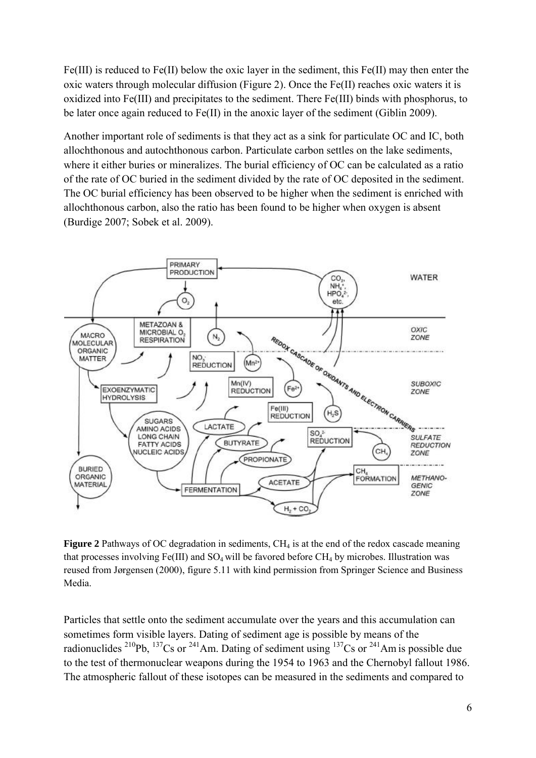Fe(III) is reduced to Fe(II) below the oxic layer in the sediment, this Fe(II) may then enter the oxic waters through molecular diffusion (Figure 2). Once the Fe(II) reaches oxic waters it is oxidized into Fe(III) and precipitates to the sediment. There Fe(III) binds with phosphorus, to be later once again reduced to Fe(II) in the anoxic layer of the sediment (Giblin 2009).

Another important role of sediments is that they act as a sink for particulate OC and IC, both allochthonous and autochthonous carbon. Particulate carbon settles on the lake sediments, where it either buries or mineralizes. The burial efficiency of OC can be calculated as a ratio of the rate of OC buried in the sediment divided by the rate of OC deposited in the sediment. The OC burial efficiency has been observed to be higher when the sediment is enriched with allochthonous carbon, also the ratio has been found to be higher when oxygen is absent (Burdige 2007; Sobek et al. 2009).



**Figure 2** Pathways of OC degradation in sediments,  $CH<sub>4</sub>$  is at the end of the redox cascade meaning that processes involving Fe(III) and  $SO_4$  will be favored before  $CH_4$  by microbes. Illustration was reused from Jørgensen (2000), figure 5.11 with kind permission from Springer Science and Business Media.

Particles that settle onto the sediment accumulate over the years and this accumulation can sometimes form visible layers. Dating of sediment age is possible by means of the radionuclides  $^{210}Pb$ ,  $^{137}Cs$  or  $^{241}Am$ . Dating of sediment using  $^{137}Cs$  or  $^{241}Am$  is possible due to the test of thermonuclear weapons during the 1954 to 1963 and the Chernobyl fallout 1986. The atmospheric fallout of these isotopes can be measured in the sediments and compared to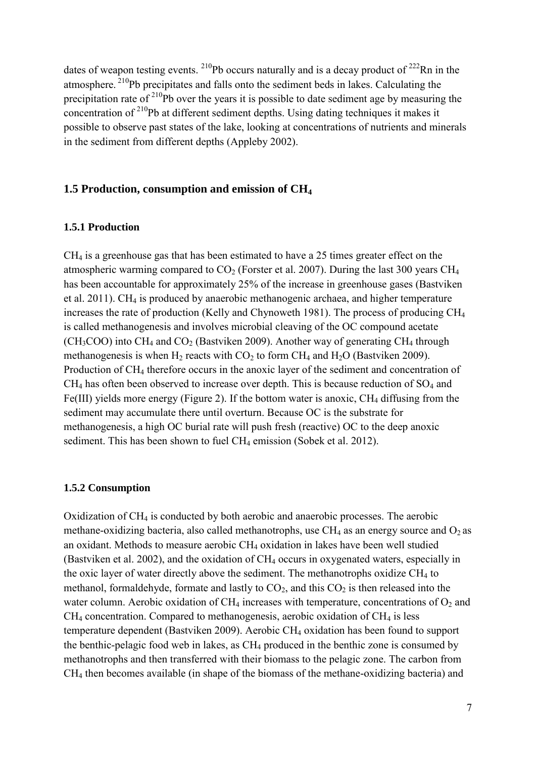dates of weapon testing events.  $^{210}Pb$  occurs naturally and is a decay product of  $^{222}Rn$  in the atmosphere. <sup>210</sup>Pb precipitates and falls onto the sediment beds in lakes. Calculating the precipitation rate of  $2^{10}$ Pb over the years it is possible to date sediment age by measuring the concentration of <sup>210</sup>Pb at different sediment depths. Using dating techniques it makes it possible to observe past states of the lake, looking at concentrations of nutrients and minerals in the sediment from different depths (Appleby 2002).

# <span id="page-7-0"></span>**1.5 Production, consumption and emission of CH<sup>4</sup>**

#### <span id="page-7-1"></span>**1.5.1 Production**

 $CH<sub>4</sub>$  is a greenhouse gas that has been estimated to have a 25 times greater effect on the atmospheric warming compared to  $CO<sub>2</sub>$  (Forster et al. 2007). During the last 300 years CH<sub>4</sub> has been accountable for approximately 25% of the increase in greenhouse gases (Bastviken et al. 2011). CH<sub>4</sub> is produced by anaerobic methanogenic archaea, and higher temperature increases the rate of production (Kelly and Chynoweth 1981). The process of producing CH<sup>4</sup> is called methanogenesis and involves microbial cleaving of the OC compound acetate  $(CH<sub>3</sub>COO)$  into  $CH<sub>4</sub>$  and  $CO<sub>2</sub>$  (Bastviken 2009). Another way of generating CH<sub>4</sub> through methanogenesis is when  $H_2$  reacts with  $CO_2$  to form  $CH_4$  and  $H_2O$  (Bastviken 2009). Production of CH<sup>4</sup> therefore occurs in the anoxic layer of the sediment and concentration of  $CH<sub>4</sub>$  has often been observed to increase over depth. This is because reduction of  $SO<sub>4</sub>$  and Fe(III) yields more energy (Figure 2). If the bottom water is anoxic,  $CH_4$  diffusing from the sediment may accumulate there until overturn. Because OC is the substrate for methanogenesis, a high OC burial rate will push fresh (reactive) OC to the deep anoxic sediment. This has been shown to fuel CH<sub>4</sub> emission (Sobek et al. 2012).

#### <span id="page-7-2"></span>**1.5.2 Consumption**

Oxidization of  $CH<sub>4</sub>$  is conducted by both aerobic and anaerobic processes. The aerobic methane-oxidizing bacteria, also called methanotrophs, use  $CH_4$  as an energy source and  $O_2$  as an oxidant. Methods to measure aerobic CH<sup>4</sup> oxidation in lakes have been well studied (Bastviken et al. 2002), and the oxidation of CH<sup>4</sup> occurs in oxygenated waters, especially in the oxic layer of water directly above the sediment. The methanotrophs oxidize CH<sup>4</sup> to methanol, formaldehyde, formate and lastly to  $CO<sub>2</sub>$ , and this  $CO<sub>2</sub>$  is then released into the water column. Aerobic oxidation of  $CH_4$  increases with temperature, concentrations of  $O_2$  and  $CH<sub>4</sub>$  concentration. Compared to methanogenesis, aerobic oxidation of  $CH<sub>4</sub>$  is less temperature dependent (Bastviken 2009). Aerobic CH<sup>4</sup> oxidation has been found to support the benthic-pelagic food web in lakes, as  $CH_4$  produced in the benthic zone is consumed by methanotrophs and then transferred with their biomass to the pelagic zone. The carbon from CH<sup>4</sup> then becomes available (in shape of the biomass of the methane-oxidizing bacteria) and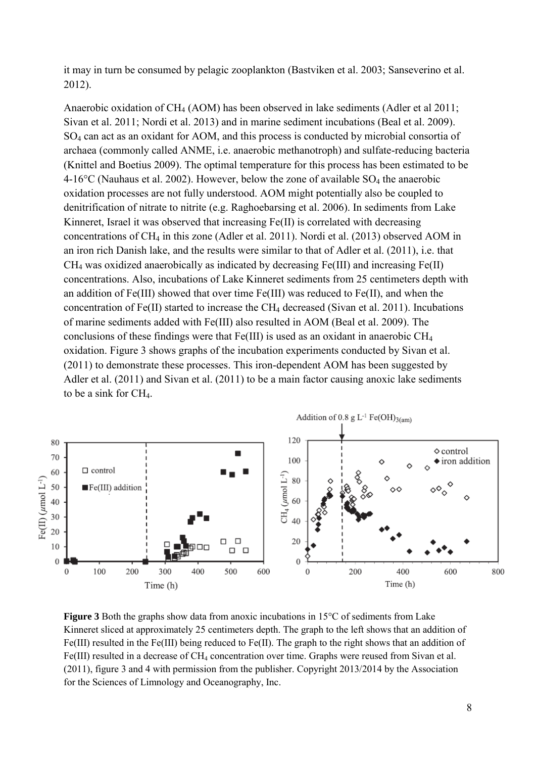it may in turn be consumed by pelagic zooplankton (Bastviken et al. 2003; Sanseverino et al. 2012).

Anaerobic oxidation of CH<sup>4</sup> (AOM) has been observed in lake sediments (Adler et al 2011; Sivan et al. 2011; Nordi et al. 2013) and in marine sediment incubations (Beal et al. 2009). SO<sup>4</sup> can act as an oxidant for AOM, and this process is conducted by microbial consortia of archaea (commonly called ANME, i.e. anaerobic methanotroph) and sulfate-reducing bacteria (Knittel and Boetius 2009). The optimal temperature for this process has been estimated to be 4-16 $^{\circ}$ C (Nauhaus et al. 2002). However, below the zone of available SO<sub>4</sub> the anaerobic oxidation processes are not fully understood. AOM might potentially also be coupled to denitrification of nitrate to nitrite (e.g. Raghoebarsing et al. 2006). In sediments from Lake Kinneret, Israel it was observed that increasing Fe(II) is correlated with decreasing concentrations of  $CH_4$  in this zone (Adler et al. 2011). Nordi et al. (2013) observed AOM in an iron rich Danish lake, and the results were similar to that of Adler et al. (2011), i.e. that CH<sup>4</sup> was oxidized anaerobically as indicated by decreasing Fe(III) and increasing Fe(II) concentrations. Also, incubations of Lake Kinneret sediments from 25 centimeters depth with an addition of Fe(III) showed that over time Fe(III) was reduced to Fe(II), and when the concentration of  $Fe(II)$  started to increase the CH<sub>4</sub> decreased (Sivan et al. 2011). Incubations of marine sediments added with Fe(III) also resulted in AOM (Beal et al. 2009). The conclusions of these findings were that Fe(III) is used as an oxidant in anaerobic CH<sup>4</sup> oxidation. Figure 3 shows graphs of the incubation experiments conducted by Sivan et al. (2011) to demonstrate these processes. This iron-dependent AOM has been suggested by Adler et al. (2011) and Sivan et al. (2011) to be a main factor causing anoxic lake sediments to be a sink for CH4.



**Figure 3** Both the graphs show data from anoxic incubations in 15°C of sediments from Lake Kinneret sliced at approximately 25 centimeters depth. The graph to the left shows that an addition of Fe(III) resulted in the Fe(III) being reduced to Fe(II). The graph to the right shows that an addition of Fe(III) resulted in a decrease of CH<sub>4</sub> concentration over time. Graphs were reused from Sivan et al. (2011), figure 3 and 4 with permission from the publisher. Copyright 2013/2014 by the Association for the Sciences of Limnology and Oceanography, Inc.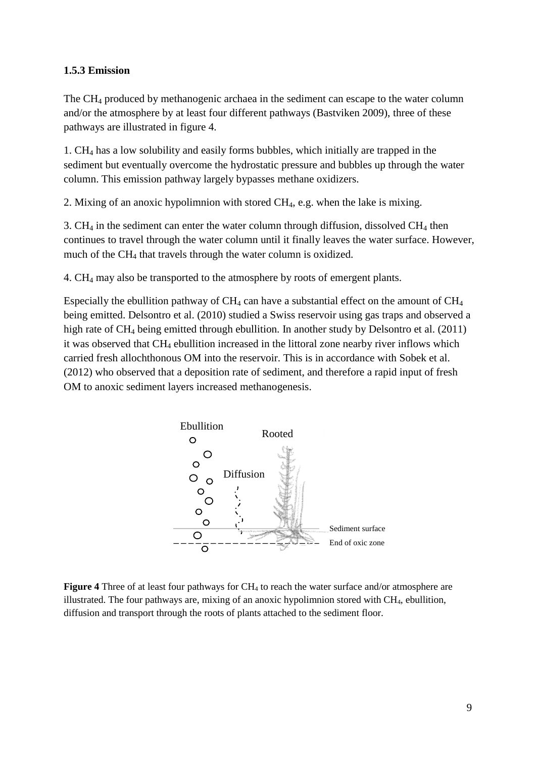### **1.5.3 Emission**

The CH4 produced by methanogenic archaea in the sediment can escape to the water column and/or the atmosphere by at least four different pathways (Bastviken 2009), three of these pathways are illustrated in figure 4.

1. CH4 has a low solubility and easily forms bubbles, which initially are trapped in the sediment but eventually overcome the hydrostatic pressure and bubbles up through the water column. This emission pathway largely bypasses methane oxidizers.

2. Mixing of an anoxic hypolimnion with stored CH4, e.g. when the lake is mixing.

3.  $CH<sub>4</sub>$  in the sediment can enter the water column through diffusion, dissolved  $CH<sub>4</sub>$  then continues to travel through the water column until it finally leaves the water surface. However, much of the CH4 that travels through the water column is oxidized.

4. CH4 may also be transported to the atmosphere by roots of emergent plants.

Especially the ebullition pathway of  $CH_4$  can have a substantial effect on the amount of  $CH_4$ being emitted. Delsontro et al. (2010) studied a Swiss reservoir using gas traps and observed a high rate of CH4 being emitted through ebullition. In another study by Delsontro et al. (2011) it was observed that CH4 ebullition increased in the littoral zone nearby river inflows which carried fresh allochthonous OM into the reservoir. This is in accordance with Sobek et al. (2012) who observed that a deposition rate of sediment, and therefore a rapid input of fresh OM to anoxic sediment layers increased methanogenesis.



**Figure 4** Three of at least four pathways for CH<sub>4</sub> to reach the water surface and/or atmosphere are illustrated. The four pathways are, mixing of an anoxic hypolimnion stored with  $CH<sub>4</sub>$ , ebullition, diffusion and transport through the roots of plants attached to the sediment floor.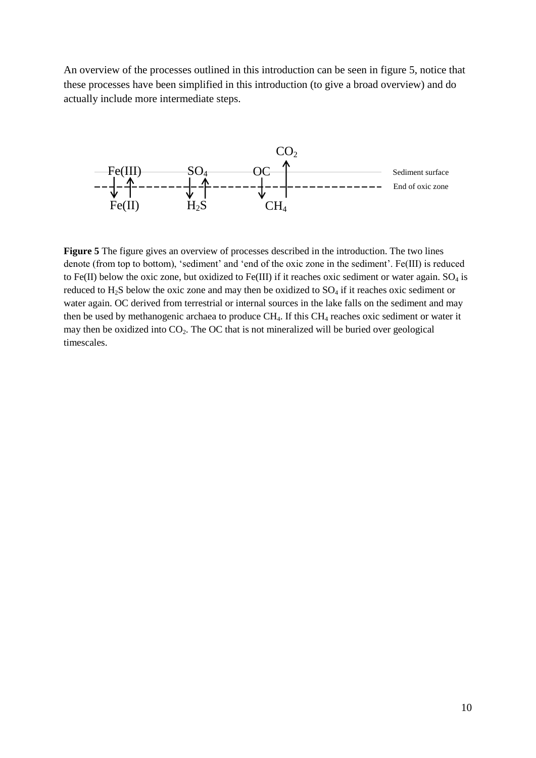An overview of the processes outlined in this introduction can be seen in figure 5, notice that these processes have been simplified in this introduction (to give a broad overview) and do actually include more intermediate steps.



**Figure 5** The figure gives an overview of processes described in the introduction. The two lines denote (from top to bottom), 'sediment' and 'end of the oxic zone in the sediment'. Fe(III) is reduced to Fe(II) below the oxic zone, but oxidized to Fe(III) if it reaches oxic sediment or water again.  $SO_4$  is reduced to  $H_2S$  below the oxic zone and may then be oxidized to  $SO_4$  if it reaches oxic sediment or water again. OC derived from terrestrial or internal sources in the lake falls on the sediment and may then be used by methanogenic archaea to produce CH<sub>4</sub>. If this CH<sub>4</sub> reaches oxic sediment or water it may then be oxidized into  $CO<sub>2</sub>$ . The OC that is not mineralized will be buried over geological timescales.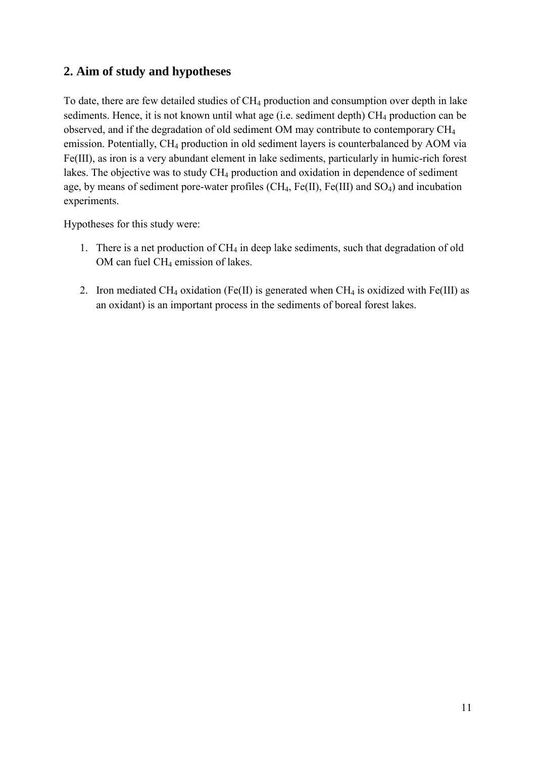# <span id="page-11-0"></span>**2. Aim of study and hypotheses**

To date, there are few detailed studies of CH<sub>4</sub> production and consumption over depth in lake sediments. Hence, it is not known until what age (i.e. sediment depth)  $CH_4$  production can be observed, and if the degradation of old sediment OM may contribute to contemporary CH<sup>4</sup> emission. Potentially, CH4 production in old sediment layers is counterbalanced by AOM via Fe(III), as iron is a very abundant element in lake sediments, particularly in humic-rich forest lakes. The objective was to study  $CH_4$  production and oxidation in dependence of sediment age, by means of sediment pore-water profiles (CH<sub>4</sub>, Fe(II), Fe(III) and SO<sub>4</sub>) and incubation experiments.

Hypotheses for this study were:

- 1. There is a net production of CH<sub>4</sub> in deep lake sediments, such that degradation of old OM can fuel CH<sub>4</sub> emission of lakes.
- 2. Iron mediated CH<sub>4</sub> oxidation (Fe(II) is generated when CH<sub>4</sub> is oxidized with Fe(III) as an oxidant) is an important process in the sediments of boreal forest lakes.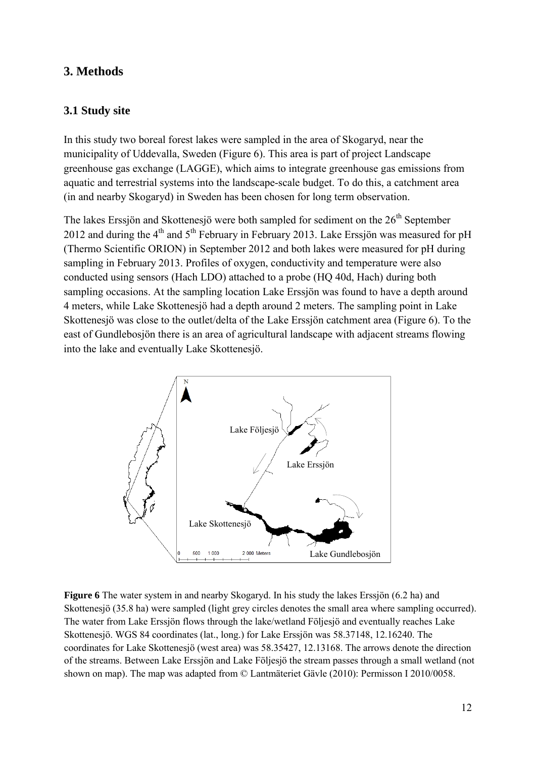# <span id="page-12-0"></span>**3. Methods**

# <span id="page-12-1"></span>**3.1 Study site**

In this study two boreal forest lakes were sampled in the area of Skogaryd, near the municipality of Uddevalla, Sweden (Figure 6). This area is part of project Landscape greenhouse gas exchange (LAGGE), which aims to integrate greenhouse gas emissions from aquatic and terrestrial systems into the landscape-scale budget. To do this, a catchment area (in and nearby Skogaryd) in Sweden has been chosen for long term observation.

The lakes Erssjön and Skottenesjö were both sampled for sediment on the  $26<sup>th</sup>$  September 2012 and during the  $4<sup>th</sup>$  and  $5<sup>th</sup>$  February in February 2013. Lake Erssiön was measured for pH (Thermo Scientific ORION) in September 2012 and both lakes were measured for pH during sampling in February 2013. Profiles of oxygen, conductivity and temperature were also conducted using sensors (Hach LDO) attached to a probe (HQ 40d, Hach) during both sampling occasions. At the sampling location Lake Erssjön was found to have a depth around 4 meters, while Lake Skottenesjö had a depth around 2 meters. The sampling point in Lake Skottenesjö was close to the outlet/delta of the Lake Erssjön catchment area (Figure 6). To the east of Gundlebosjön there is an area of agricultural landscape with adjacent streams flowing into the lake and eventually Lake Skottenesjö.



**Figure 6** The water system in and nearby Skogaryd. In his study the lakes Erssjön (6.2 ha) and Skottenesjö (35.8 ha) were sampled (light grey circles denotes the small area where sampling occurred). The water from Lake Erssjön flows through the lake/wetland Följesjö and eventually reaches Lake Skottenesjö. WGS 84 coordinates (lat., long.) for Lake Erssjön was 58.37148, 12.16240. The coordinates for Lake Skottenesjö (west area) was 58.35427, 12.13168. The arrows denote the direction of the streams. Between Lake Erssjön and Lake Följesjö the stream passes through a small wetland (not shown on map). The map was adapted from © Lantmäteriet Gävle (2010): Permisson I 2010/0058.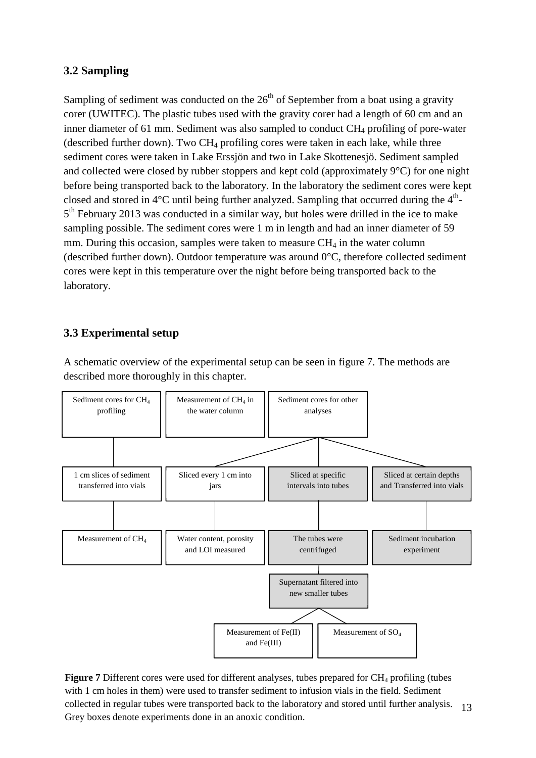# **3.2 Sampling**

Sampling of sediment was conducted on the  $26<sup>th</sup>$  of September from a boat using a gravity corer (UWITEC). The plastic tubes used with the gravity corer had a length of 60 cm and an inner diameter of 61 mm. Sediment was also sampled to conduct CH<sub>4</sub> profiling of pore-water (described further down). Two  $CH_4$  profiling cores were taken in each lake, while three sediment cores were taken in Lake Erssjön and two in Lake Skottenesjö. Sediment sampled and collected were closed by rubber stoppers and kept cold (approximately 9°C) for one night before being transported back to the laboratory. In the laboratory the sediment cores were kept closed and stored in  $4^{\circ}$ C until being further analyzed. Sampling that occurred during the  $4^{\text{th}}$ -5<sup>th</sup> February 2013 was conducted in a similar way, but holes were drilled in the ice to make sampling possible. The sediment cores were 1 m in length and had an inner diameter of 59 mm. During this occasion, samples were taken to measure  $CH<sub>4</sub>$  in the water column (described further down). Outdoor temperature was around 0°C, therefore collected sediment cores were kept in this temperature over the night before being transported back to the laboratory.

# **3.3 Experimental setup**

A schematic overview of the experimental setup can be seen in figure 7. The methods are described more thoroughly in this chapter.



13 Figure 7 Different cores were used for different analyses, tubes prepared for CH<sub>4</sub> profiling (tubes with 1 cm holes in them) were used to transfer sediment to infusion vials in the field. Sediment collected in regular tubes were transported back to the laboratory and stored until further analysis. Grey boxes denote experiments done in an anoxic condition.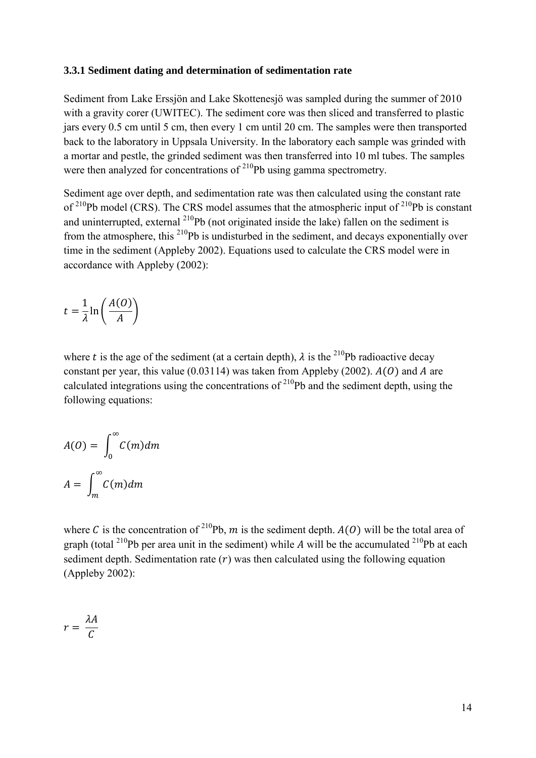#### <span id="page-14-0"></span>**3.3.1 Sediment dating and determination of sedimentation rate**

Sediment from Lake Erssjön and Lake Skottenesjö was sampled during the summer of 2010 with a gravity corer (UWITEC). The sediment core was then sliced and transferred to plastic jars every 0.5 cm until 5 cm, then every 1 cm until 20 cm. The samples were then transported back to the laboratory in Uppsala University. In the laboratory each sample was grinded with a mortar and pestle, the grinded sediment was then transferred into 10 ml tubes. The samples were then analyzed for concentrations of  $2^{10}Pb$  using gamma spectrometry.

Sediment age over depth, and sedimentation rate was then calculated using the constant rate of  $^{210}Pb$  model (CRS). The CRS model assumes that the atmospheric input of  $^{210}Pb$  is constant and uninterrupted, external  $^{210}Pb$  (not originated inside the lake) fallen on the sediment is from the atmosphere, this  $^{210}Pb$  is undisturbed in the sediment, and decays exponentially over time in the sediment (Appleby 2002). Equations used to calculate the CRS model were in accordance with Appleby (2002):

$$
t = \frac{1}{\lambda} \ln \left( \frac{A(O)}{A} \right)
$$

where t is the age of the sediment (at a certain depth),  $\lambda$  is the <sup>210</sup>Pb radioactive decay constant per year, this value  $(0.03114)$  was taken from Appleby (2002).  $A(0)$  and A are calculated integrations using the concentrations of  $^{210}Pb$  and the sediment depth, using the following equations:

$$
A(0) = \int_0^{\infty} C(m) dm
$$

$$
A = \int_m^{\infty} C(m) dm
$$

where C is the concentration of <sup>210</sup>Pb, m is the sediment depth.  $A(O)$  will be the total area of graph (total <sup>210</sup>Pb per area unit in the sediment) while A will be the accumulated <sup>210</sup>Pb at each sediment depth. Sedimentation rate  $(r)$  was then calculated using the following equation (Appleby 2002):

$$
r=\frac{\lambda A}{C}
$$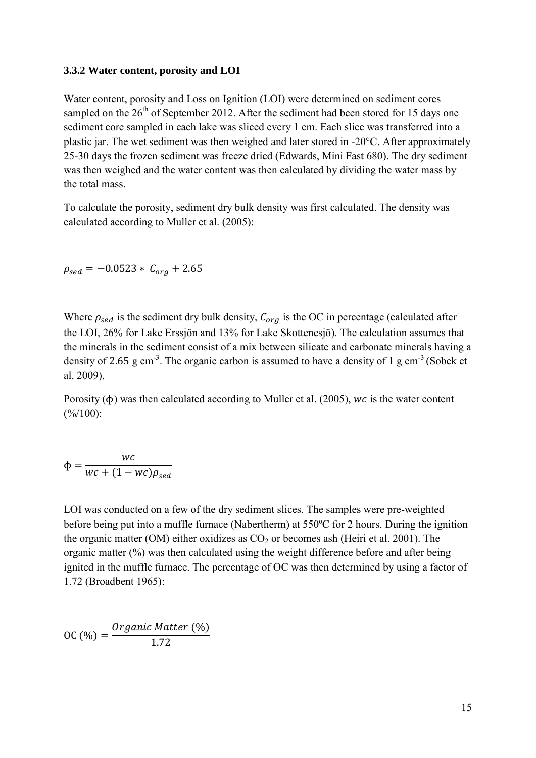# <span id="page-15-0"></span>**3.3.2 Water content, porosity and LOI**

Water content, porosity and Loss on Ignition (LOI) were determined on sediment cores sampled on the  $26<sup>th</sup>$  of September 2012. After the sediment had been stored for 15 days one sediment core sampled in each lake was sliced every 1 cm. Each slice was transferred into a plastic jar. The wet sediment was then weighed and later stored in -20°C. After approximately 25-30 days the frozen sediment was freeze dried (Edwards, Mini Fast 680). The dry sediment was then weighed and the water content was then calculated by dividing the water mass by the total mass.

To calculate the porosity, sediment dry bulk density was first calculated. The density was calculated according to Muller et al. (2005):

 $\rho_{sed} = -0.0523 * C_{org} + 2.65$ 

Where  $\rho_{sed}$  is the sediment dry bulk density,  $C_{org}$  is the OC in percentage (calculated after the LOI, 26% for Lake Erssjön and 13% for Lake Skottenesjö). The calculation assumes that the minerals in the sediment consist of a mix between silicate and carbonate minerals having a density of 2.65 g cm<sup>-3</sup>. The organic carbon is assumed to have a density of 1 g cm<sup>-3</sup> (Sobek et al. 2009).

Porosity  $(\phi)$  was then calculated according to Muller et al. (2005), wc is the water content  $(\frac{\%}{100})$ :

$$
\Phi = \frac{wc}{wc + (1 - wc)\rho_{sed}}
$$

LOI was conducted on a few of the dry sediment slices. The samples were pre-weighted before being put into a muffle furnace (Nabertherm) at 550ºC for 2 hours. During the ignition the organic matter (OM) either oxidizes as  $CO<sub>2</sub>$  or becomes ash (Heiri et al. 2001). The organic matter (%) was then calculated using the weight difference before and after being ignited in the muffle furnace. The percentage of OC was then determined by using a factor of 1.72 (Broadbent 1965):

$$
OC (%) = \frac{Organic Matter (%)}{1.72}
$$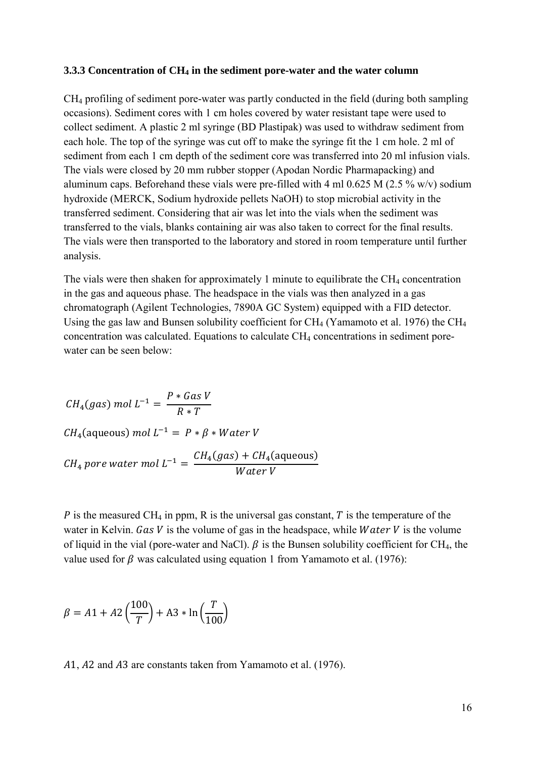#### <span id="page-16-0"></span>**3.3.3 Concentration of CH<sup>4</sup> in the sediment pore-water and the water column**

CH<sup>4</sup> profiling of sediment pore-water was partly conducted in the field (during both sampling occasions). Sediment cores with 1 cm holes covered by water resistant tape were used to collect sediment. A plastic 2 ml syringe (BD Plastipak) was used to withdraw sediment from each hole. The top of the syringe was cut off to make the syringe fit the 1 cm hole. 2 ml of sediment from each 1 cm depth of the sediment core was transferred into 20 ml infusion vials. The vials were closed by 20 mm rubber stopper (Apodan Nordic Pharmapacking) and aluminum caps. Beforehand these vials were pre-filled with 4 ml 0.625 M (2.5 % w/v) sodium hydroxide (MERCK, Sodium hydroxide pellets NaOH) to stop microbial activity in the transferred sediment. Considering that air was let into the vials when the sediment was transferred to the vials, blanks containing air was also taken to correct for the final results. The vials were then transported to the laboratory and stored in room temperature until further analysis.

The vials were then shaken for approximately 1 minute to equilibrate the  $CH_4$  concentration in the gas and aqueous phase. The headspace in the vials was then analyzed in a gas chromatograph (Agilent Technologies, 7890A GC System) equipped with a FID detector. Using the gas law and Bunsen solubility coefficient for  $CH_4$  (Yamamoto et al. 1976) the  $CH_4$ concentration was calculated. Equations to calculate CH<sub>4</sub> concentrations in sediment porewater can be seen below:

$$
CH_4(gas) mol L^{-1} = \frac{P * Gas V}{R * T}
$$
  
\n
$$
CH_4(aqueous) mol L^{-1} = P * \beta * Water V
$$
  
\n
$$
CH_4 pore water mol L^{-1} = \frac{CH_4(gas) + CH_4(aqueous)}{Water V}
$$

P is the measured CH<sub>4</sub> in ppm, R is the universal gas constant, T is the temperature of the water in Kelvin. Gas  $V$  is the volume of gas in the headspace, while *Water V* is the volume of liquid in the vial (pore-water and NaCl).  $\beta$  is the Bunsen solubility coefficient for CH<sub>4</sub>, the value used for  $\beta$  was calculated using equation 1 from Yamamoto et al. (1976):

$$
\beta = A1 + A2 \left(\frac{100}{T}\right) + A3 * \ln\left(\frac{T}{100}\right)
$$

A1, A2 and A3 are constants taken from Yamamoto et al. (1976).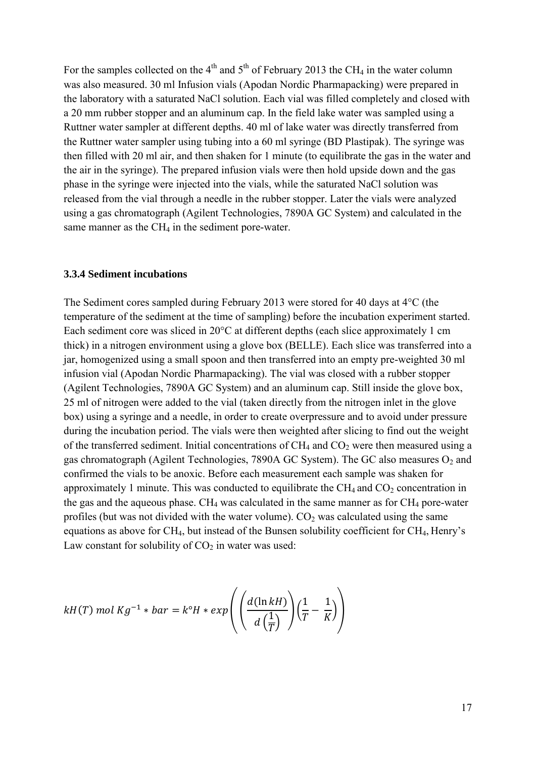For the samples collected on the  $4<sup>th</sup>$  and  $5<sup>th</sup>$  of February 2013 the CH<sub>4</sub> in the water column was also measured. 30 ml Infusion vials (Apodan Nordic Pharmapacking) were prepared in the laboratory with a saturated NaCl solution. Each vial was filled completely and closed with a 20 mm rubber stopper and an aluminum cap. In the field lake water was sampled using a Ruttner water sampler at different depths. 40 ml of lake water was directly transferred from the Ruttner water sampler using tubing into a 60 ml syringe (BD Plastipak). The syringe was then filled with 20 ml air, and then shaken for 1 minute (to equilibrate the gas in the water and the air in the syringe). The prepared infusion vials were then hold upside down and the gas phase in the syringe were injected into the vials, while the saturated NaCl solution was released from the vial through a needle in the rubber stopper. Later the vials were analyzed using a gas chromatograph (Agilent Technologies, 7890A GC System) and calculated in the same manner as the  $CH<sub>4</sub>$  in the sediment pore-water.

#### <span id="page-17-0"></span>**3.3.4 Sediment incubations**

The Sediment cores sampled during February 2013 were stored for 40 days at 4°C (the temperature of the sediment at the time of sampling) before the incubation experiment started. Each sediment core was sliced in 20°C at different depths (each slice approximately 1 cm thick) in a nitrogen environment using a glove box (BELLE). Each slice was transferred into a jar, homogenized using a small spoon and then transferred into an empty pre-weighted 30 ml infusion vial (Apodan Nordic Pharmapacking). The vial was closed with a rubber stopper (Agilent Technologies, 7890A GC System) and an aluminum cap. Still inside the glove box, 25 ml of nitrogen were added to the vial (taken directly from the nitrogen inlet in the glove box) using a syringe and a needle, in order to create overpressure and to avoid under pressure during the incubation period. The vials were then weighted after slicing to find out the weight of the transferred sediment. Initial concentrations of  $CH_4$  and  $CO_2$  were then measured using a gas chromatograph (Agilent Technologies, 7890A GC System). The GC also measures  $O_2$  and confirmed the vials to be anoxic. Before each measurement each sample was shaken for approximately 1 minute. This was conducted to equilibrate the  $CH_4$  and  $CO_2$  concentration in the gas and the aqueous phase.  $CH_4$  was calculated in the same manner as for  $CH_4$  pore-water profiles (but was not divided with the water volume).  $CO<sub>2</sub>$  was calculated using the same equations as above for CH4, but instead of the Bunsen solubility coefficient for CH4, Henry's Law constant for solubility of  $CO<sub>2</sub>$  in water was used:

$$
kH(T) \text{ mol } Kg^{-1} * bar = k^{\circ}H * exp\left(\left(\frac{d(\ln kH)}{d\left(\frac{1}{T}\right)}\right)\left(\frac{1}{T} - \frac{1}{K}\right)\right)
$$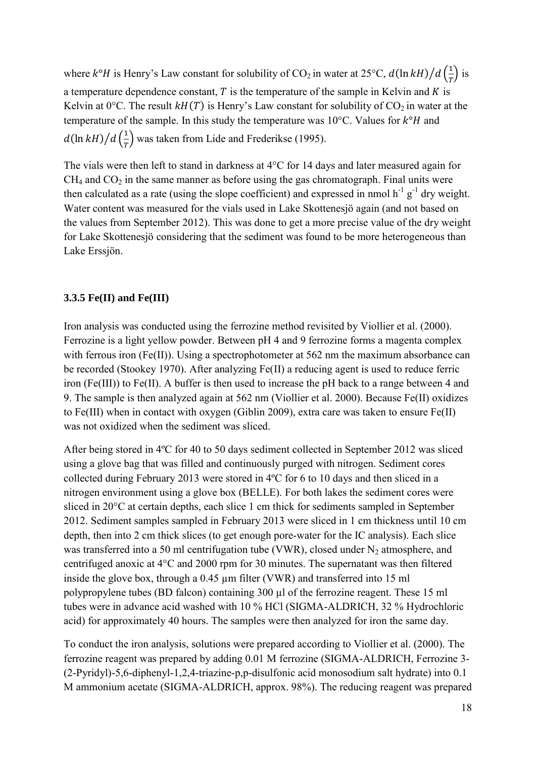where  $k^{\circ}H$  is Henry's Law constant for solubility of CO<sub>2</sub> in water at 25°C,  $d(\ln kH)/d\left(\frac{1}{T}\right)$  is a temperature dependence constant,  $T$  is the temperature of the sample in Kelvin and  $K$  is Kelvin at  $0^{\circ}$ C. The result  $kH(T)$  is Henry's Law constant for solubility of  $CO<sub>2</sub>$  in water at the temperature of the sample. In this study the temperature was  $10^{\circ}$ C. Values for  $k^{\circ}$ H and  $d(\ln kH)/d\left(\frac{1}{T}\right)$  was taken from Lide and Frederikse (1995).

The vials were then left to stand in darkness at 4°C for 14 days and later measured again for  $CH<sub>4</sub>$  and  $CO<sub>2</sub>$  in the same manner as before using the gas chromatograph. Final units were then calculated as a rate (using the slope coefficient) and expressed in nmol  $h^{-1} g^{-1}$  dry weight. Water content was measured for the vials used in Lake Skottenesjö again (and not based on the values from September 2012). This was done to get a more precise value of the dry weight for Lake Skottenesjö considering that the sediment was found to be more heterogeneous than Lake Erssjön.

# <span id="page-18-0"></span>**3.3.5 Fe(II) and Fe(III)**

Iron analysis was conducted using the ferrozine method revisited by Viollier et al. (2000). Ferrozine is a light yellow powder. Between pH 4 and 9 ferrozine forms a magenta complex with ferrous iron (Fe(II)). Using a spectrophotometer at 562 nm the maximum absorbance can be recorded (Stookey 1970). After analyzing Fe(II) a reducing agent is used to reduce ferric iron (Fe(III)) to Fe(II). A buffer is then used to increase the pH back to a range between 4 and 9. The sample is then analyzed again at 562 nm (Viollier et al. 2000). Because Fe(II) oxidizes to Fe(III) when in contact with oxygen (Giblin 2009), extra care was taken to ensure Fe(II) was not oxidized when the sediment was sliced.

After being stored in 4ºC for 40 to 50 days sediment collected in September 2012 was sliced using a glove bag that was filled and continuously purged with nitrogen. Sediment cores collected during February 2013 were stored in 4ºC for 6 to 10 days and then sliced in a nitrogen environment using a glove box (BELLE). For both lakes the sediment cores were sliced in 20°C at certain depths, each slice 1 cm thick for sediments sampled in September 2012. Sediment samples sampled in February 2013 were sliced in 1 cm thickness until 10 cm depth, then into 2 cm thick slices (to get enough pore-water for the IC analysis). Each slice was transferred into a 50 ml centrifugation tube (VWR), closed under  $N_2$  atmosphere, and centrifuged anoxic at 4°C and 2000 rpm for 30 minutes. The supernatant was then filtered inside the glove box, through a 0.45 µm filter (VWR) and transferred into 15 ml polypropylene tubes (BD falcon) containing 300 µl of the ferrozine reagent. These 15 ml tubes were in advance acid washed with 10 % HCl (SIGMA-ALDRICH, 32 % Hydrochloric acid) for approximately 40 hours. The samples were then analyzed for iron the same day.

To conduct the iron analysis, solutions were prepared according to Viollier et al. (2000). The ferrozine reagent was prepared by adding 0.01 M ferrozine (SIGMA-ALDRICH, Ferrozine 3- (2-Pyridyl)-5,6-diphenyl-1,2,4-triazine-p,p-disulfonic acid monosodium salt hydrate) into 0.1 M ammonium acetate (SIGMA-ALDRICH, approx. 98%). The reducing reagent was prepared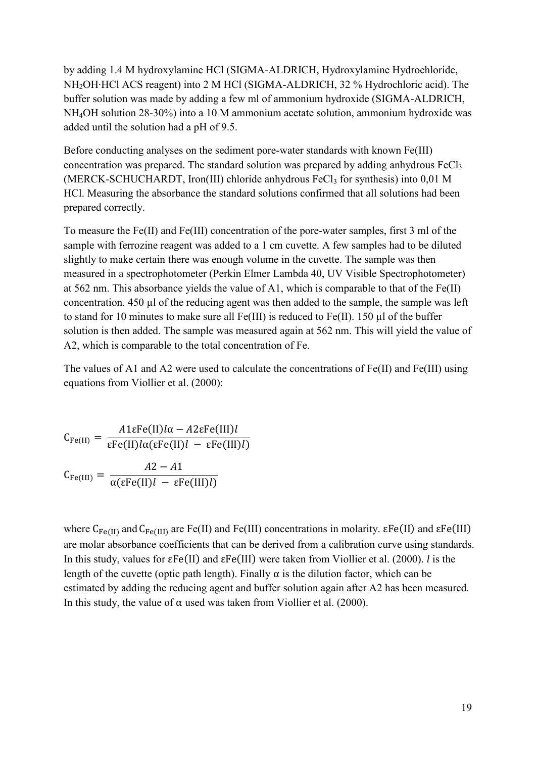by adding 1.4 M hydroxylamine HCl (SIGMA-ALDRICH, Hydroxylamine Hydrochloride, NH<sub>2</sub>OH⋅HCl ACS reagent) into 2 M HCl (SIGMA-ALDRICH, 32 % Hydrochloric acid). The buffer solution was made by adding a few ml of ammonium hydroxide (SIGMA-ALDRICH, NH4OH solution 28-30%) into a 10 M ammonium acetate solution, ammonium hydroxide was added until the solution had a pH of 9.5.

Before conducting analyses on the sediment pore-water standards with known Fe(III) concentration was prepared. The standard solution was prepared by adding anhydrous FeCl<sub>3</sub> (MERCK-SCHUCHARDT, Iron(III) chloride anhydrous  $FeCl<sub>3</sub>$  for synthesis) into 0,01 M HCl. Measuring the absorbance the standard solutions confirmed that all solutions had been prepared correctly.

To measure the Fe(II) and Fe(III) concentration of the pore-water samples, first 3 ml of the sample with ferrozine reagent was added to a 1 cm cuvette. A few samples had to be diluted slightly to make certain there was enough volume in the cuvette. The sample was then measured in a spectrophotometer (Perkin Elmer Lambda 40, UV Visible Spectrophotometer) at 562 nm. This absorbance yields the value of A1, which is comparable to that of the Fe(II) concentration. 450 µl of the reducing agent was then added to the sample, the sample was left to stand for 10 minutes to make sure all Fe(III) is reduced to Fe(II). 150 µl of the buffer solution is then added. The sample was measured again at 562 nm. This will yield the value of A2, which is comparable to the total concentration of Fe.

The values of A1 and A2 were used to calculate the concentrations of Fe(II) and Fe(III) using equations from Viollier et al. (2000):

$$
C_{Fe(II)} = \frac{A1\epsilon Fe(II)l\alpha - A2\epsilon Fe(III)l}{\epsilon Fe(II)l\alpha(\epsilon Fe(II)l - \epsilon Fe(III)l)}
$$

$$
C_{Fe(III)} = \frac{A2 - A1}{\alpha(\epsilon Fe(II)l - \epsilon Fe(III)l)}
$$

where  $C_{Fe(II)}$  and  $C_{Fe(III)}$  are Fe(II) and Fe(III) concentrations in molarity.  $\epsilon Fe(II)$  and  $\epsilon Fe(III)$ are molar absorbance coefficients that can be derived from a calibration curve using standards. In this study, values for  $\epsilon \text{Fe(II)}$  and  $\epsilon \text{Fe(III)}$  were taken from Viollier et al. (2000). *l* is the length of the cuvette (optic path length). Finally  $\alpha$  is the dilution factor, which can be estimated by adding the reducing agent and buffer solution again after A2 has been measured. In this study, the value of  $\alpha$  used was taken from Viollier et al. (2000).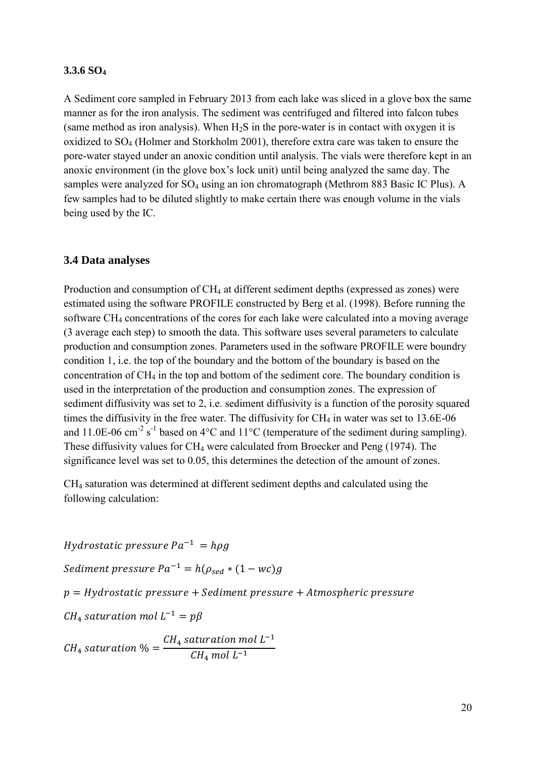### <span id="page-20-0"></span>**3.3.6 SO<sup>4</sup>**

A Sediment core sampled in February 2013 from each lake was sliced in a glove box the same manner as for the iron analysis. The sediment was centrifuged and filtered into falcon tubes (same method as iron analysis). When  $H_2S$  in the pore-water is in contact with oxygen it is oxidized to SO<sup>4</sup> (Holmer and Storkholm 2001), therefore extra care was taken to ensure the pore-water stayed under an anoxic condition until analysis. The vials were therefore kept in an anoxic environment (in the glove box's lock unit) until being analyzed the same day. The samples were analyzed for SO<sub>4</sub> using an ion chromatograph (Methrom 883 Basic IC Plus). A few samples had to be diluted slightly to make certain there was enough volume in the vials being used by the IC.

### <span id="page-20-1"></span>**3.4 Data analyses**

Production and consumption of CH<sub>4</sub> at different sediment depths (expressed as zones) were estimated using the software PROFILE constructed by Berg et al. (1998). Before running the software CH<sub>4</sub> concentrations of the cores for each lake were calculated into a moving average (3 average each step) to smooth the data. This software uses several parameters to calculate production and consumption zones. Parameters used in the software PROFILE were boundry condition 1, i.e. the top of the boundary and the bottom of the boundary is based on the concentration of CH<sup>4</sup> in the top and bottom of the sediment core. The boundary condition is used in the interpretation of the production and consumption zones. The expression of sediment diffusivity was set to 2, i.e. sediment diffusivity is a function of the porosity squared times the diffusivity in the free water. The diffusivity for  $CH_4$  in water was set to 13.6E-06 and 11.0E-06 cm<sup>-2</sup> s<sup>-1</sup> based on 4°C and 11°C (temperature of the sediment during sampling). These diffusivity values for CH<sup>4</sup> were calculated from Broecker and Peng (1974). The significance level was set to 0.05, this determines the detection of the amount of zones.

CH<sup>4</sup> saturation was determined at different sediment depths and calculated using the following calculation:

Hydrostatic pressure  $Pa^{-1} = h\rho g$ Sediment pressure  $Pa^{-1} = h(\rho_{sed} * (1 - wc)g)$  $p = Hydrostatic pressure + Sediment pressure + Atmospheric pressure$  $CH<sub>4</sub>$  saturation mol L<sup>-</sup>  $\mathcal{C}_{0}^{(n)}$  $CH_4$  saturation mol  $L^ CH_4$  mol  $L^-$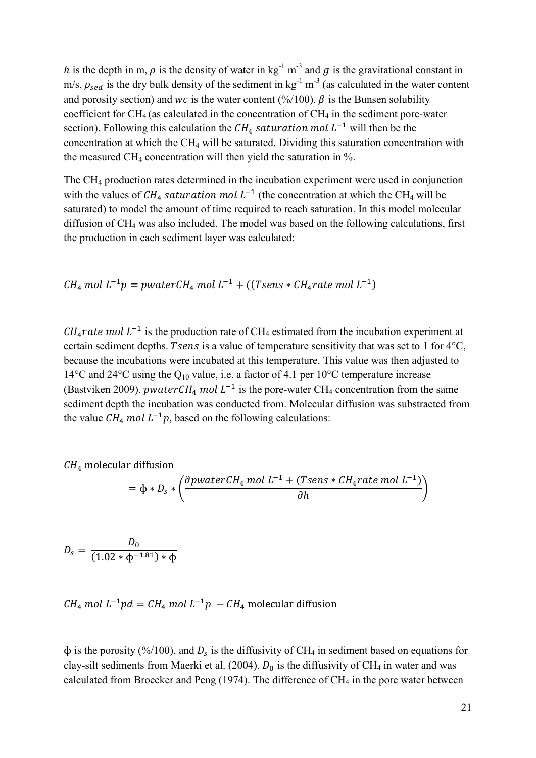h is the depth in m,  $\rho$  is the density of water in kg<sup>-1</sup> m<sup>-3</sup> and g is the gravitational constant in m/s.  $\rho_{sed}$  is the dry bulk density of the sediment in kg<sup>-1</sup> m<sup>-3</sup> (as calculated in the water content and porosity section) and wc is the water content (%/100).  $\beta$  is the Bunsen solubility coefficient for  $CH_4$  (as calculated in the concentration of  $CH_4$  in the sediment pore-water section). Following this calculation the  $CH_4$  saturation mol  $L^{-1}$  will then be the concentration at which the  $CH<sub>4</sub>$  will be saturated. Dividing this saturation concentration with the measured CH<sub>4</sub> concentration will then yield the saturation in  $\%$ .

The CH<sup>4</sup> production rates determined in the incubation experiment were used in conjunction with the values of  $CH_4$  saturation mol  $L^{-1}$  (the concentration at which the CH<sub>4</sub> will be saturated) to model the amount of time required to reach saturation. In this model molecular diffusion of CH<sup>4</sup> was also included. The model was based on the following calculations, first the production in each sediment layer was calculated:

$$
CH_4 \, mol \, L^{-1}p = pwaterCH_4 \, mol \, L^{-1} + ((Tsens * CH_4 rate \, mol \, L^{-1})
$$

 $CH_4$ rate mol  $L^{-1}$  is the production rate of CH<sub>4</sub> estimated from the incubation experiment at certain sediment depths. Tsens is a value of temperature sensitivity that was set to 1 for  $4^{\circ}C$ , because the incubations were incubated at this temperature. This value was then adjusted to 14°C and 24°C using the Q<sup>10</sup> value, i.e. a factor of 4.1 per 10°C temperature increase (Bastviken 2009). *pwater CH*<sub>4</sub> *mol*  $L^{-1}$  is the pore-water CH<sub>4</sub> concentration from the same sediment depth the incubation was conducted from. Molecular diffusion was substracted from the value  $CH_4$  mol  $L^{-1}p$ , based on the following calculations:

 $CH<sub>4</sub>$  molecular diffusion

$$
= \Phi * D_s * \left( \frac{\partial pwaterCH_4 \, mol \, L^{-1} + (Tsens * CH_4 rate \, mol \, L^{-1})}{\partial h} \right)
$$

 $\overline{D}$  $\boldsymbol{D}$  $(1.02 * \phi^{-1.81}) *$ 

 $CH_4$  mol  $L^{-1}pd = CH_4$  mol  $L^{-1}p - CH_4$  molecular diffusion

 $\phi$  is the porosity (%/100), and  $D_s$  is the diffusivity of CH<sub>4</sub> in sediment based on equations for clay-silt sediments from Maerki et al. (2004).  $D_0$  is the diffusivity of CH<sub>4</sub> in water and was calculated from Broecker and Peng  $(1974)$ . The difference of  $CH<sub>4</sub>$  in the pore water between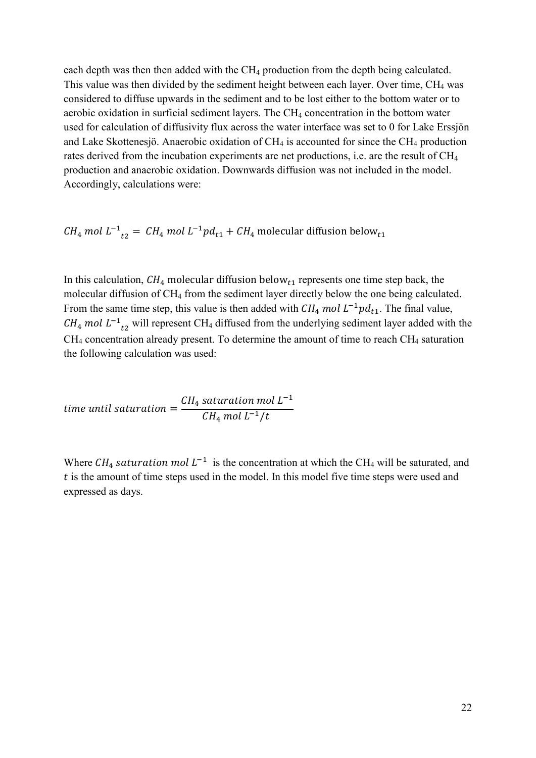each depth was then then added with the CH<sub>4</sub> production from the depth being calculated. This value was then divided by the sediment height between each layer. Over time, CH<sub>4</sub> was considered to diffuse upwards in the sediment and to be lost either to the bottom water or to aerobic oxidation in surficial sediment layers. The CH<sup>4</sup> concentration in the bottom water used for calculation of diffusivity flux across the water interface was set to 0 for Lake Erssjön and Lake Skottenesjö. Anaerobic oxidation of  $CH_4$  is accounted for since the  $CH_4$  production rates derived from the incubation experiments are net productions, i.e. are the result of CH<sup>4</sup> production and anaerobic oxidation. Downwards diffusion was not included in the model. Accordingly, calculations were:

 $CH_4$  mol  $L^{-1}_{t}$ <sup>-</sup>

In this calculation,  $CH_4$  molecular diffusion below<sub>t1</sub> represents one time step back, the molecular diffusion of CH<sup>4</sup> from the sediment layer directly below the one being calculated. From the same time step, this value is then added with  $CH_4$  mol  $L^{-1}pd_{t1}$ . The final value,  $CH_4$  mol  $L^{-1}$ <sub>t2</sub> will represent CH<sub>4</sub> diffused from the underlying sediment layer added with the  $CH<sub>4</sub>$  concentration already present. To determine the amount of time to reach  $CH<sub>4</sub>$  saturation the following calculation was used:

time until saturation = 
$$
\frac{CH_4 \, saturation \, mol \, L^{-1}}{CH_4 \, mol \, L^{-1}/t}
$$

Where  $CH_4$  saturation mol  $L^{-1}$  is the concentration at which the CH<sub>4</sub> will be saturated, and  $t$  is the amount of time steps used in the model. In this model five time steps were used and expressed as days.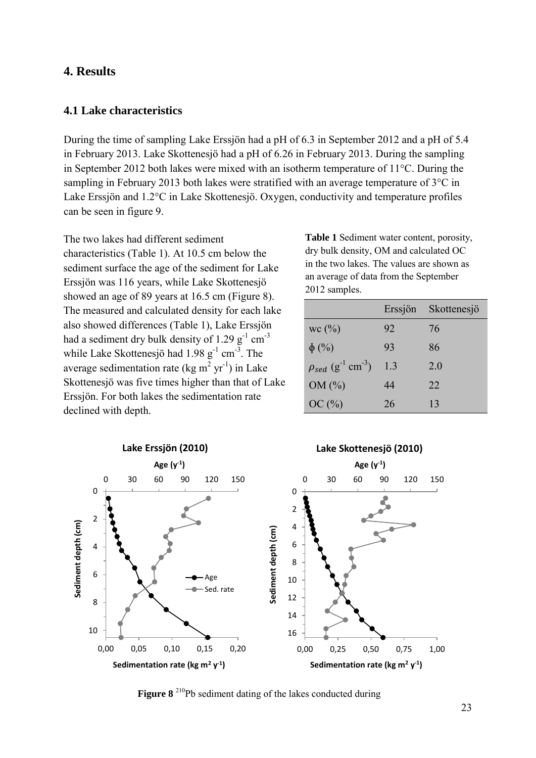# <span id="page-23-0"></span>**4. Results**

### <span id="page-23-1"></span>**4.1 Lake characteristics**

During the time of sampling Lake Erssjön had a pH of 6.3 in September 2012 and a pH of 5.4 in February 2013. Lake Skottenesjö had a pH of 6.26 in February 2013. During the sampling in September 2012 both lakes were mixed with an isotherm temperature of 11°C. During the sampling in February 2013 both lakes were stratified with an average temperature of 3°C in Lake Erssjön and 1.2°C in Lake Skottenesjö. Oxygen, conductivity and temperature profiles can be seen in figure 9.

The two lakes had different sediment characteristics (Table 1). At 10.5 cm below the sediment surface the age of the sediment for Lake Erssjön was 116 years, while Lake Skottenesjö showed an age of 89 years at 16.5 cm (Figure 8). The measured and calculated density for each lake also showed differences (Table 1), Lake Erssjön had a sediment dry bulk density of  $1.29 \text{ g}^{-1} \text{ cm}^{-3}$ while Lake Skottenesjö had  $1.98 \text{ g}^{-1} \text{ cm}^{-3}$ . The average sedimentation rate (kg m<sup>2</sup> yr<sup>-1</sup>) in Lake Skottenesjö was five times higher than that of Lake Erssjön. For both lakes the sedimentation rate declined with depth.

**Table 1** Sediment water content, porosity, dry bulk density, OM and calculated OC in the two lakes. The values are shown as an average of data from the September 2012 samples.

|                                                  | Erssjön | Skottenesjö |
|--------------------------------------------------|---------|-------------|
| wc(%)                                            | 92      | 76          |
| $\phi$ (%)                                       | 93      | 86          |
| $\rho_{sed}$ (g <sup>-1</sup> cm <sup>-3</sup> ) | 1.3     | 2.0         |
| OM(%)                                            | 44      | 22          |
| OC(%)                                            | 26      | 13          |



**Figure 8** <sup>210</sup>Pb sediment dating of the lakes conducted during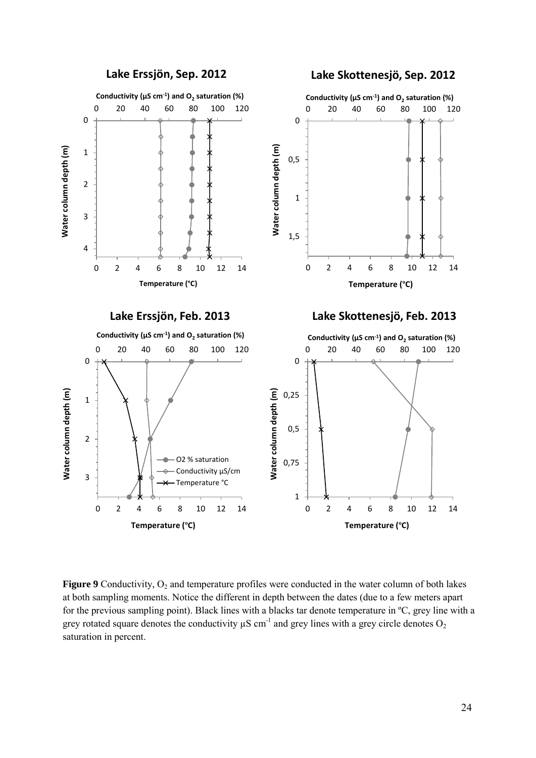

**Figure 9** Conductivity,  $O_2$  and temperature profiles were conducted in the water column of both lakes at both sampling moments. Notice the different in depth between the dates (due to a few meters apart for the previous sampling point). Black lines with a blacks tar denote temperature in ºC, grey line with a grey rotated square denotes the conductivity  $\mu$ S cm<sup>-1</sup> and grey lines with a grey circle denotes O<sub>2</sub> saturation in percent.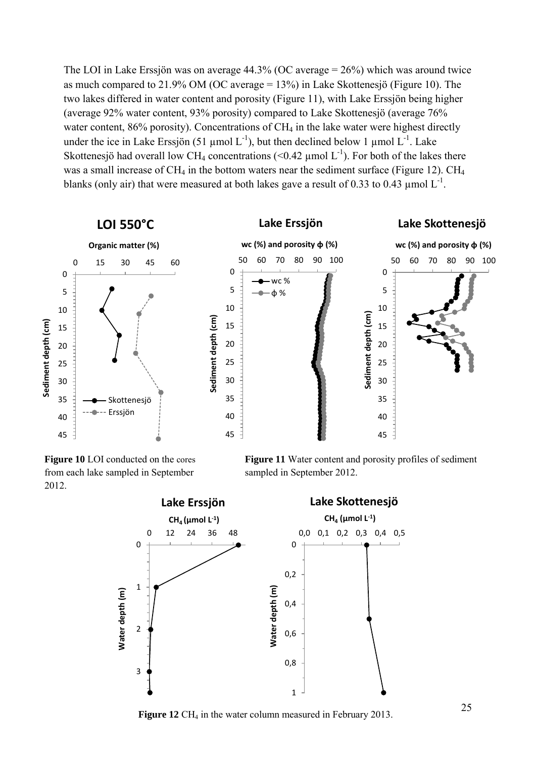The LOI in Lake Erssjön was on average 44.3% (OC average = 26%) which was around twice as much compared to 21.9% OM (OC average = 13%) in Lake Skottenesjö (Figure 10). The two lakes differed in water content and porosity (Figure 11), with Lake Erssjön being higher (average 92% water content, 93% porosity) compared to Lake Skottenesjö (average 76% water content,  $86\%$  porosity). Concentrations of CH<sub>4</sub> in the lake water were highest directly under the ice in Lake Erssjön (51 µmol  $L^{-1}$ ), but then declined below 1 µmol  $L^{-1}$ . Lake Skottenesjö had overall low CH<sub>4</sub> concentrations (<0.42 µmol  $L^{-1}$ ). For both of the lakes there was a small increase of  $CH_4$  in the bottom waters near the sediment surface (Figure 12).  $CH_4$ blanks (only air) that were measured at both lakes gave a result of 0.33 to 0.43  $\mu$ mol L<sup>-1</sup>.



**Figure 10** LOI conducted on the cores from each lake sampled in September 2012.





**Figure** 12 CH<sub>4</sub> in the water column measured in February 2013.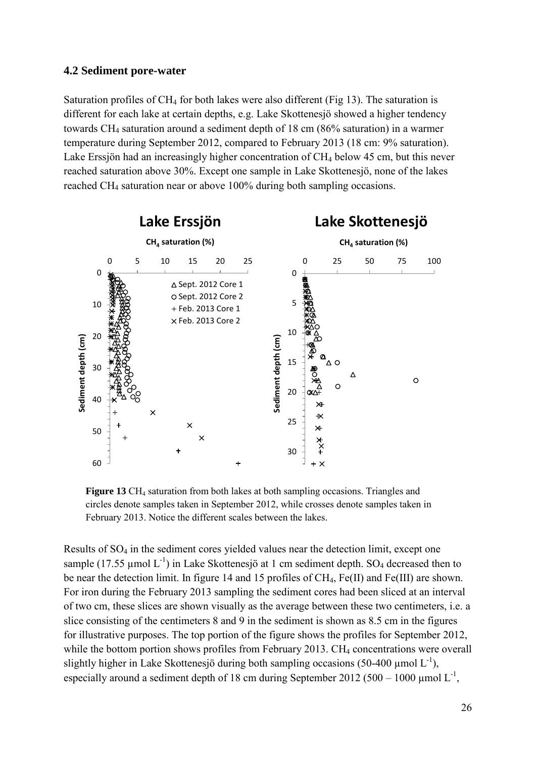### <span id="page-26-0"></span>**4.2 Sediment pore-water**

Saturation profiles of  $CH_4$  for both lakes were also different (Fig 13). The saturation is different for each lake at certain depths, e.g. Lake Skottenesjö showed a higher tendency towards CH<sup>4</sup> saturation around a sediment depth of 18 cm (86% saturation) in a warmer temperature during September 2012, compared to February 2013 (18 cm: 9% saturation). Lake Erssjön had an increasingly higher concentration of CH<sub>4</sub> below 45 cm, but this never reached saturation above 30%. Except one sample in Lake Skottenesjö, none of the lakes reached CH<sup>4</sup> saturation near or above 100% during both sampling occasions.



**Figure 13** CH<sub>4</sub> saturation from both lakes at both sampling occasions. Triangles and circles denote samples taken in September 2012, while crosses denote samples taken in February 2013. Notice the different scales between the lakes.

Results of SO<sup>4</sup> in the sediment cores yielded values near the detection limit, except one sample (17.55 µmol  $L^{-1}$ ) in Lake Skottenesjö at 1 cm sediment depth. SO<sub>4</sub> decreased then to be near the detection limit. In figure 14 and 15 profiles of CH<sub>4</sub>, Fe(II) and Fe(III) are shown. For iron during the February 2013 sampling the sediment cores had been sliced at an interval of two cm, these slices are shown visually as the average between these two centimeters, i.e. a slice consisting of the centimeters 8 and 9 in the sediment is shown as 8.5 cm in the figures for illustrative purposes. The top portion of the figure shows the profiles for September 2012, while the bottom portion shows profiles from February 2013. CH<sub>4</sub> concentrations were overall slightly higher in Lake Skottenesjö during both sampling occasions (50-400  $\mu$ mol L<sup>-1</sup>), especially around a sediment depth of 18 cm during September 2012 (500 – 1000 µmol  $L^{-1}$ ,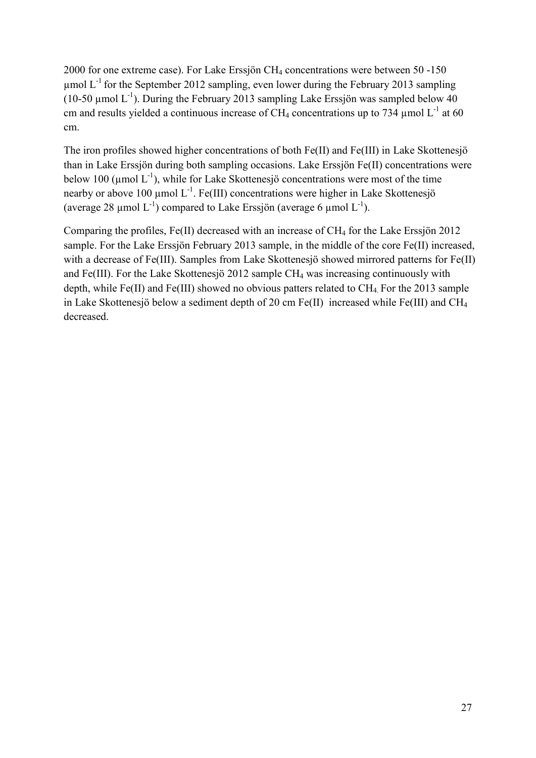2000 for one extreme case). For Lake Erssjön CH<sup>4</sup> concentrations were between 50 -150 umol  $L^{-1}$  for the September 2012 sampling, even lower during the February 2013 sampling (10-50 µmol  $L^{-1}$ ). During the February 2013 sampling Lake Erssjön was sampled below 40 cm and results yielded a continuous increase of CH<sub>4</sub> concentrations up to 734 µmol  $L^{-1}$  at 60 cm.

The iron profiles showed higher concentrations of both Fe(II) and Fe(III) in Lake Skottenesjö than in Lake Erssjön during both sampling occasions. Lake Erssjön Fe(II) concentrations were below 100 ( $\mu$ mol L<sup>-1</sup>), while for Lake Skottenesjö concentrations were most of the time nearby or above 100  $\mu$ mol L<sup>-1</sup>. Fe(III) concentrations were higher in Lake Skottenesjö (average 28 µmol  $L^{-1}$ ) compared to Lake Erssjön (average 6 µmol  $L^{-1}$ ).

Comparing the profiles, Fe(II) decreased with an increase of CH<sub>4</sub> for the Lake Erssjön 2012 sample. For the Lake Erssjön February 2013 sample, in the middle of the core Fe(II) increased, with a decrease of Fe(III). Samples from Lake Skottenesjö showed mirrored patterns for Fe(II) and Fe(III). For the Lake Skottenesjö 2012 sample  $CH_4$  was increasing continuously with depth, while Fe(II) and Fe(III) showed no obvious patters related to  $CH_4$ . For the 2013 sample in Lake Skottenesjö below a sediment depth of 20 cm Fe(II) increased while Fe(III) and CH<sup>4</sup> decreased.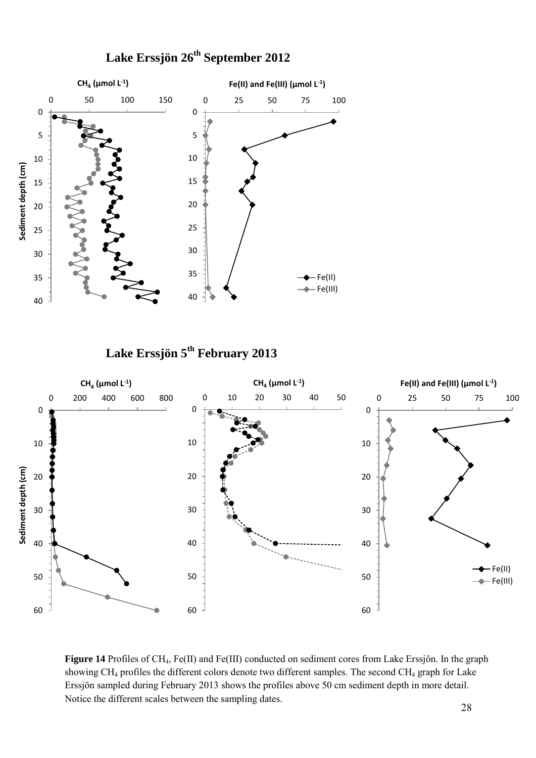

**Lake Erssjön 26th September 2012**

**Lake Erssjön 5 th February 2013**



**Figure 14** Profiles of CH4, Fe(II) and Fe(III) conducted on sediment cores from Lake Erssjön. In the graph showing CH<sub>4</sub> profiles the different colors denote two different samples. The second CH<sub>4</sub> graph for Lake Erssjön sampled during February 2013 shows the profiles above 50 cm sediment depth in more detail. Notice the different scales between the sampling dates.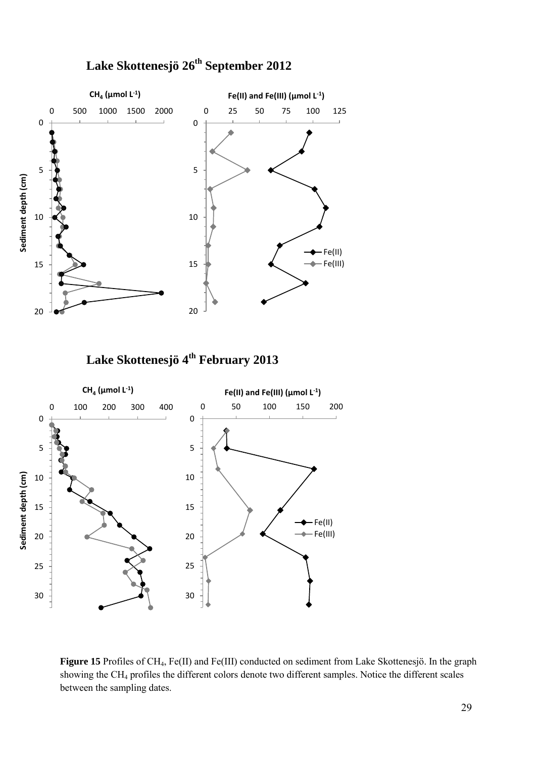

# **Lake Skottenesjö26th September 2012**

**Lake Skottenesjö4 th February 2013**



**Figure 15** Profiles of CH4, Fe(II) and Fe(III) conducted on sediment from Lake Skottenesjö. In the graph showing the CH<sup>4</sup> profiles the different colors denote two different samples. Notice the different scales between the sampling dates.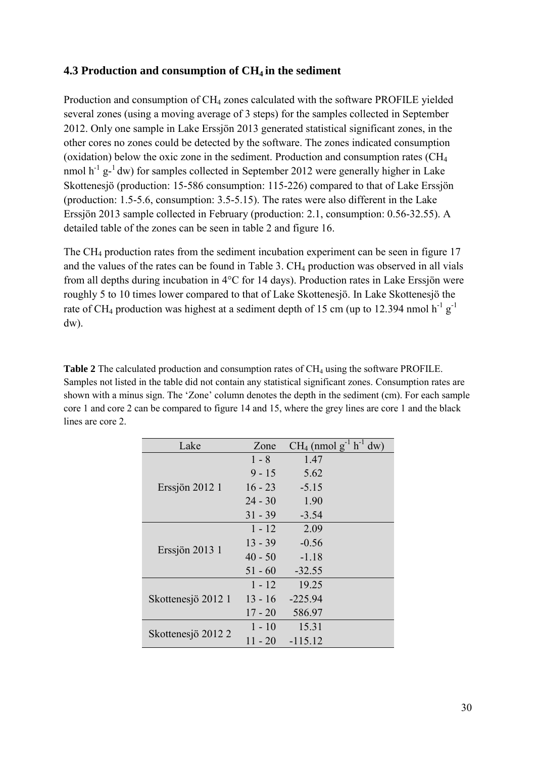# <span id="page-30-0"></span>**4.3 Production and consumption of CH4 in the sediment**

Production and consumption of CH<sub>4</sub> zones calculated with the software PROFILE yielded several zones (using a moving average of 3 steps) for the samples collected in September 2012. Only one sample in Lake Erssjön 2013 generated statistical significant zones, in the other cores no zones could be detected by the software. The zones indicated consumption (oxidation) below the oxic zone in the sediment. Production and consumption rates (CH<sup>4</sup> nmol  $h^{-1}g^{-1}$  dw) for samples collected in September 2012 were generally higher in Lake Skottenesjö (production: 15-586 consumption: 115-226) compared to that of Lake Erssjön (production: 1.5-5.6, consumption: 3.5-5.15). The rates were also different in the Lake Erssjön 2013 sample collected in February (production: 2.1, consumption: 0.56-32.55). A detailed table of the zones can be seen in table 2 and figure 16.

The CH<sup>4</sup> production rates from the sediment incubation experiment can be seen in figure 17 and the values of the rates can be found in Table 3. CH<sub>4</sub> production was observed in all vials from all depths during incubation in 4°C for 14 days). Production rates in Lake Erssjön were roughly 5 to 10 times lower compared to that of Lake Skottenesjö. In Lake Skottenesjö the rate of CH<sub>4</sub> production was highest at a sediment depth of 15 cm (up to 12.394 nmol  $h^{-1}g^{-1}$ dw).

**Table 2** The calculated production and consumption rates of CH<sub>4</sub> using the software PROFILE. Samples not listed in the table did not contain any statistical significant zones. Consumption rates are shown with a minus sign. The 'Zone' column denotes the depth in the sediment (cm). For each sample core 1 and core 2 can be compared to figure 14 and 15, where the grey lines are core 1 and the black lines are core 2.

| Lake               | Zone      | $CH_4$ (nmol $g^{-1}$ h <sup>-1</sup> dw) |
|--------------------|-----------|-------------------------------------------|
|                    | $1 - 8$   | 1.47                                      |
| Erssjön 2012 1     | $9 - 15$  | 5.62                                      |
|                    | $16 - 23$ | $-5.15$                                   |
|                    | $24 - 30$ | 1.90                                      |
|                    | $31 - 39$ | $-3.54$                                   |
| Erssjön 2013 1     | $1 - 12$  | 2.09                                      |
|                    | $13 - 39$ | $-0.56$                                   |
|                    | $40 - 50$ | $-1.18$                                   |
|                    | $51 - 60$ | $-32.55$                                  |
| Skottenesjö 2012 1 | $1 - 12$  | 19.25                                     |
|                    | $13 - 16$ | $-225.94$                                 |
|                    | $17 - 20$ | 586.97                                    |
| Skottenesjö 2012 2 | $1 - 10$  | 15.31                                     |
|                    | 11 - 20   | $-115.12$                                 |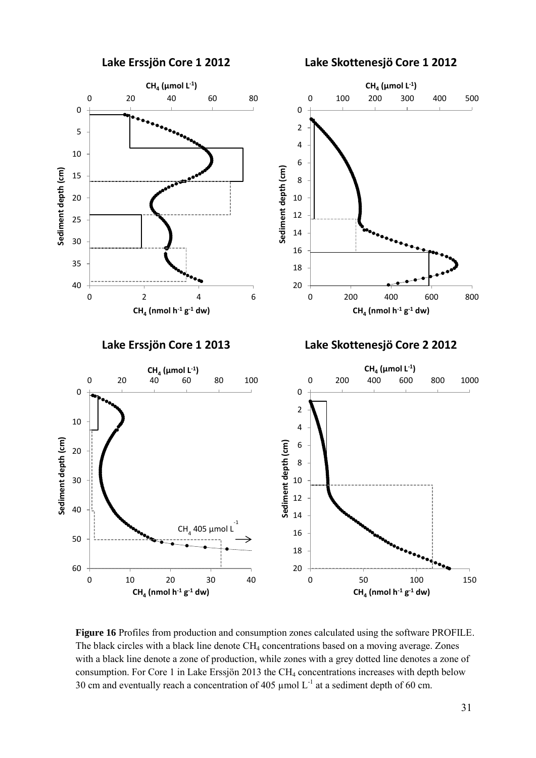

**Figure 16** Profiles from production and consumption zones calculated using the software PROFILE. The black circles with a black line denote  $CH_4$  concentrations based on a moving average. Zones with a black line denote a zone of production, while zones with a grey dotted line denotes a zone of consumption. For Core 1 in Lake Erssjön 2013 the CH<sup>4</sup> concentrations increases with depth below 30 cm and eventually reach a concentration of 405  $\mu$ mol L<sup>-1</sup> at a sediment depth of 60 cm.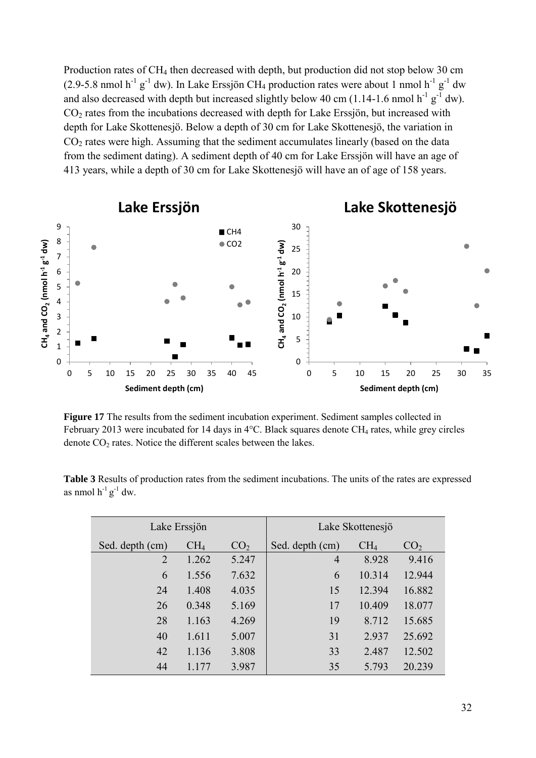Production rates of CH<sub>4</sub> then decreased with depth, but production did not stop below 30 cm (2.9-5.8 nmol  $h^{-1}g^{-1}$  dw). In Lake Erssjön CH<sub>4</sub> production rates were about 1 nmol  $h^{-1}g^{-1}$  dw and also decreased with depth but increased slightly below 40 cm (1.14-1.6 nmol  $h^{-1}g^{-1}$  dw). CO<sup>2</sup> rates from the incubations decreased with depth for Lake Erssjön, but increased with depth for Lake Skottenesjö. Below a depth of 30 cm for Lake Skottenesjö, the variation in  $CO<sub>2</sub>$  rates were high. Assuming that the sediment accumulates linearly (based on the data from the sediment dating). A sediment depth of 40 cm for Lake Erssjön will have an age of 413 years, while a depth of 30 cm for Lake Skottenesjö will have an of age of 158 years.



**Figure 17** The results from the sediment incubation experiment. Sediment samples collected in February 2013 were incubated for 14 days in  $4^{\circ}$ C. Black squares denote CH<sub>4</sub> rates, while grey circles denote  $CO<sub>2</sub>$  rates. Notice the different scales between the lakes.

|                            | <b>Table 3</b> Results of production rates from the sediment incubations. The units of the rates are expressed |  |  |  |
|----------------------------|----------------------------------------------------------------------------------------------------------------|--|--|--|
| as nmol $h^{-1}g^{-1}$ dw. |                                                                                                                |  |  |  |
|                            |                                                                                                                |  |  |  |

| Lake Erssjön    |                 | Lake Skottenesjö |                 |                 |                 |
|-----------------|-----------------|------------------|-----------------|-----------------|-----------------|
| Sed. depth (cm) | CH <sub>4</sub> | CO <sub>2</sub>  | Sed. depth (cm) | CH <sub>4</sub> | CO <sub>2</sub> |
| $\overline{2}$  | 1.262           | 5.247            | $\overline{4}$  | 8.928           | 9.416           |
| 6               | 1.556           | 7.632            | 6               | 10.314          | 12.944          |
| 24              | 1.408           | 4.035            | 15              | 12.394          | 16.882          |
| 26              | 0.348           | 5.169            | 17              | 10.409          | 18.077          |
| 28              | 1.163           | 4.269            | 19              | 8.712           | 15.685          |
| 40              | 1.611           | 5.007            | 31              | 2.937           | 25.692          |
| 42              | 1.136           | 3.808            | 33              | 2.487           | 12.502          |
| 44              | 1.177           | 3.987            | 35              | 5.793           | 20.239          |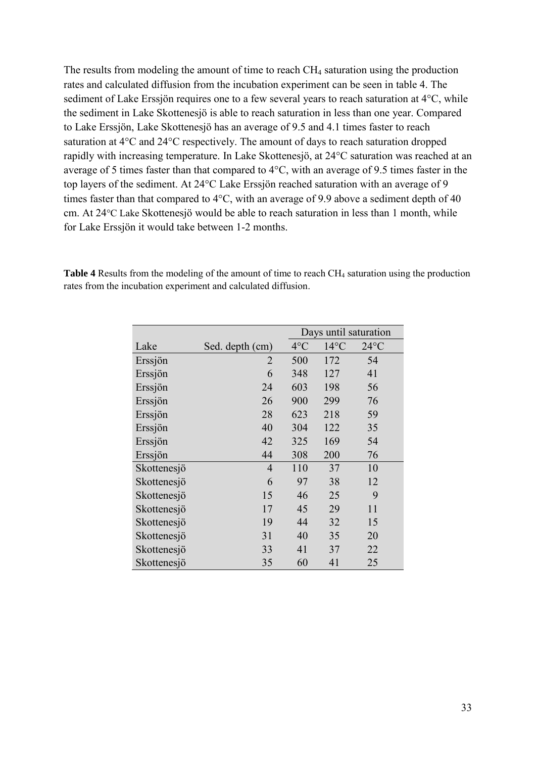The results from modeling the amount of time to reach CH<sub>4</sub> saturation using the production rates and calculated diffusion from the incubation experiment can be seen in table 4. The sediment of Lake Erssjön requires one to a few several years to reach saturation at 4°C, while the sediment in Lake Skottenesjö is able to reach saturation in less than one year. Compared to Lake Erssjön, Lake Skottenesjö has an average of 9.5 and 4.1 times faster to reach saturation at 4°C and 24°C respectively. The amount of days to reach saturation dropped rapidly with increasing temperature. In Lake Skottenesjö, at 24°C saturation was reached at an average of 5 times faster than that compared to 4°C, with an average of 9.5 times faster in the top layers of the sediment. At 24°C Lake Erssjön reached saturation with an average of 9 times faster than that compared to 4°C, with an average of 9.9 above a sediment depth of 40 cm. At 24°C Lake Skottenesjö would be able to reach saturation in less than 1 month, while for Lake Erssjön it would take between 1-2 months.

|             |                 | Days until saturation |                |                |
|-------------|-----------------|-----------------------|----------------|----------------|
| Lake        | Sed. depth (cm) | $4^{\circ}$ C         | $14^{\circ}$ C | $24^{\circ}$ C |
| Erssjön     | 2               | 500                   | 172            | 54             |
| Erssjön     | 6               | 348                   | 127            | 41             |
| Erssjön     | 24              | 603                   | 198            | 56             |
| Erssjön     | 26              | 900                   | 299            | 76             |
| Erssjön     | 28              | 623                   | 218            | 59             |
| Erssjön     | 40              | 304                   | 122            | 35             |
| Erssjön     | 42              | 325                   | 169            | 54             |
| Erssjön     | 44              | 308                   | 200            | 76             |
| Skottenesjö | $\overline{4}$  | 110                   | 37             | 10             |
| Skottenesjö | 6               | 97                    | 38             | 12             |
| Skottenesjö | 15              | 46                    | 25             | 9              |
| Skottenesjö | 17              | 45                    | 29             | 11             |
| Skottenesjö | 19              | 44                    | 32             | 15             |
| Skottenesjö | 31              | 40                    | 35             | 20             |
| Skottenesjö | 33              | 41                    | 37             | 22             |
| Skottenesjö | 35              | 60                    | 41             | 25             |

**Table 4** Results from the modeling of the amount of time to reach CH<sub>4</sub> saturation using the production rates from the incubation experiment and calculated diffusion.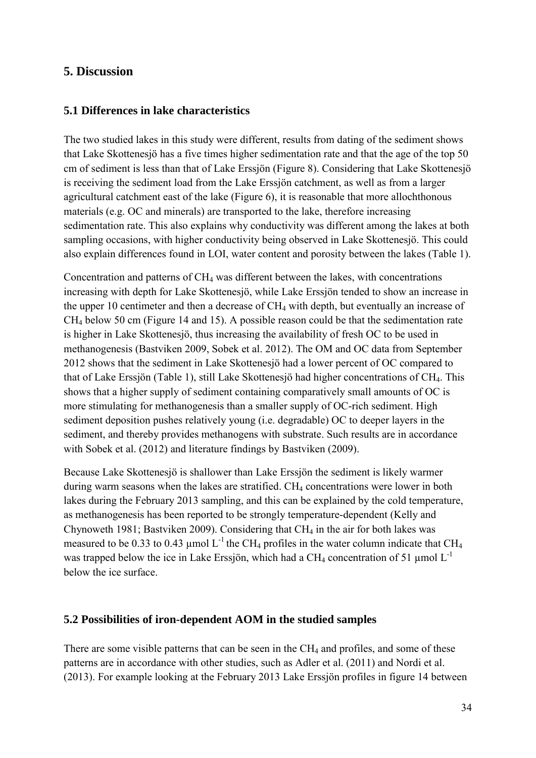# <span id="page-34-0"></span>**5. Discussion**

# <span id="page-34-1"></span>**5.1 Differences in lake characteristics**

The two studied lakes in this study were different, results from dating of the sediment shows that Lake Skottenesjö has a five times higher sedimentation rate and that the age of the top 50 cm of sediment is less than that of Lake Erssjön (Figure 8). Considering that Lake Skottenesjö is receiving the sediment load from the Lake Erssjön catchment, as well as from a larger agricultural catchment east of the lake (Figure 6), it is reasonable that more allochthonous materials (e.g. OC and minerals) are transported to the lake, therefore increasing sedimentation rate. This also explains why conductivity was different among the lakes at both sampling occasions, with higher conductivity being observed in Lake Skottenesjö. This could also explain differences found in LOI, water content and porosity between the lakes (Table 1).

Concentration and patterns of  $CH<sub>4</sub>$  was different between the lakes, with concentrations increasing with depth for Lake Skottenesjö, while Lake Erssjön tended to show an increase in the upper 10 centimeter and then a decrease of CH<sup>4</sup> with depth, but eventually an increase of CH<sup>4</sup> below 50 cm (Figure 14 and 15). A possible reason could be that the sedimentation rate is higher in Lake Skottenesjö, thus increasing the availability of fresh OC to be used in methanogenesis (Bastviken 2009, Sobek et al. 2012). The OM and OC data from September 2012 shows that the sediment in Lake Skottenesjö had a lower percent of OC compared to that of Lake Erssjön (Table 1), still Lake Skottenesjö had higher concentrations of CH4. This shows that a higher supply of sediment containing comparatively small amounts of OC is more stimulating for methanogenesis than a smaller supply of OC-rich sediment. High sediment deposition pushes relatively young (i.e. degradable) OC to deeper layers in the sediment, and thereby provides methanogens with substrate. Such results are in accordance with Sobek et al. (2012) and literature findings by Bastviken (2009).

Because Lake Skottenesjö is shallower than Lake Erssjön the sediment is likely warmer during warm seasons when the lakes are stratified. CH<sub>4</sub> concentrations were lower in both lakes during the February 2013 sampling, and this can be explained by the cold temperature, as methanogenesis has been reported to be strongly temperature-dependent (Kelly and Chynoweth 1981; Bastviken 2009). Considering that CH<sup>4</sup> in the air for both lakes was measured to be 0.33 to 0.43 µmol  $L^{-1}$  the CH<sub>4</sub> profiles in the water column indicate that CH<sub>4</sub> was trapped below the ice in Lake Erssjön, which had a CH<sub>4</sub> concentration of 51 µmol  $L^{-1}$ below the ice surface.

### <span id="page-34-2"></span>**5.2 Possibilities of iron-dependent AOM in the studied samples**

There are some visible patterns that can be seen in the CH<sub>4</sub> and profiles, and some of these patterns are in accordance with other studies, such as Adler et al. (2011) and Nordi et al. (2013). For example looking at the February 2013 Lake Erssjön profiles in figure 14 between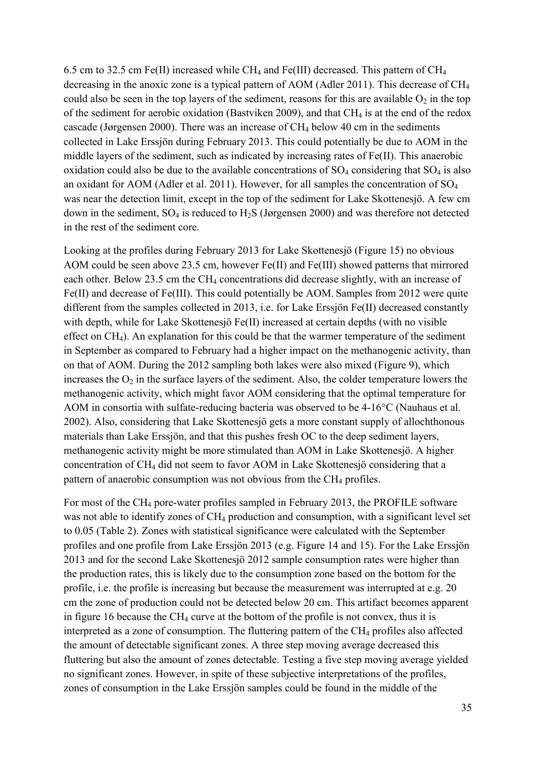6.5 cm to 32.5 cm Fe(II) increased while CH<sub>4</sub> and Fe(III) decreased. This pattern of CH<sub>4</sub> decreasing in the anoxic zone is a typical pattern of AOM (Adler 2011). This decrease of CH<sup>4</sup> could also be seen in the top layers of the sediment, reasons for this are available  $O_2$  in the top of the sediment for aerobic oxidation (Bastviken 2009), and that  $CH_4$  is at the end of the redox cascade (Jørgensen 2000). There was an increase of  $CH<sub>4</sub>$  below 40 cm in the sediments collected in Lake Erssjön during February 2013. This could potentially be due to AOM in the middle layers of the sediment, such as indicated by increasing rates of Fe(II). This anaerobic oxidation could also be due to the available concentrations of  $SO_4$  considering that  $SO_4$  is also an oxidant for AOM (Adler et al. 2011). However, for all samples the concentration of SO<sup>4</sup> was near the detection limit, except in the top of the sediment for Lake Skottenesjö. A few cm down in the sediment,  $SO_4$  is reduced to  $H_2S$  (Jørgensen 2000) and was therefore not detected in the rest of the sediment core.

Looking at the profiles during February 2013 for Lake Skottenesjö (Figure 15) no obvious AOM could be seen above 23.5 cm, however Fe(II) and Fe(III) showed patterns that mirrored each other. Below 23.5 cm the  $CH_4$  concentrations did decrease slightly, with an increase of Fe(II) and decrease of Fe(III). This could potentially be AOM. Samples from 2012 were quite different from the samples collected in 2013, i.e. for Lake Erssjön Fe(II) decreased constantly with depth, while for Lake Skottenesjö Fe(II) increased at certain depths (with no visible effect on CH4). An explanation for this could be that the warmer temperature of the sediment in September as compared to February had a higher impact on the methanogenic activity, than on that of AOM. During the 2012 sampling both lakes were also mixed (Figure 9), which increases the  $O_2$  in the surface layers of the sediment. Also, the colder temperature lowers the methanogenic activity, which might favor AOM considering that the optimal temperature for AOM in consortia with sulfate-reducing bacteria was observed to be 4-16°C (Nauhaus et al. 2002). Also, considering that Lake Skottenesjö gets a more constant supply of allochthonous materials than Lake Erssjön, and that this pushes fresh OC to the deep sediment layers, methanogenic activity might be more stimulated than AOM in Lake Skottenesjö. A higher concentration of CH<sup>4</sup> did not seem to favor AOM in Lake Skottenesjö considering that a pattern of anaerobic consumption was not obvious from the CH<sub>4</sub> profiles.

For most of the CH<sup>4</sup> pore-water profiles sampled in February 2013, the PROFILE software was not able to identify zones of  $CH_4$  production and consumption, with a significant level set to 0.05 (Table 2). Zones with statistical significance were calculated with the September profiles and one profile from Lake Erssjön 2013 (e.g. Figure 14 and 15). For the Lake Erssjön 2013 and for the second Lake Skottenesjö 2012 sample consumption rates were higher than the production rates, this is likely due to the consumption zone based on the bottom for the profile, i.e. the profile is increasing but because the measurement was interrupted at e.g. 20 cm the zone of production could not be detected below 20 cm. This artifact becomes apparent in figure 16 because the  $CH_4$  curve at the bottom of the profile is not convex, thus it is interpreted as a zone of consumption. The fluttering pattern of the  $CH_4$  profiles also affected the amount of detectable significant zones. A three step moving average decreased this fluttering but also the amount of zones detectable. Testing a five step moving average yielded no significant zones. However, in spite of these subjective interpretations of the profiles, zones of consumption in the Lake Erssjön samples could be found in the middle of the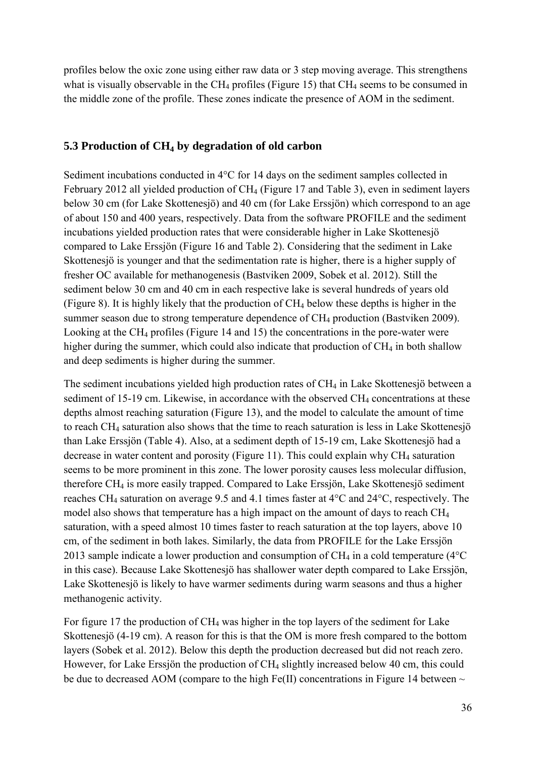profiles below the oxic zone using either raw data or 3 step moving average. This strengthens what is visually observable in the CH<sub>4</sub> profiles (Figure 15) that CH<sub>4</sub> seems to be consumed in the middle zone of the profile. These zones indicate the presence of AOM in the sediment.

# <span id="page-36-0"></span>**5.3 Production of CH<sup>4</sup> by degradation of old carbon**

Sediment incubations conducted in 4°C for 14 days on the sediment samples collected in February 2012 all yielded production of CH<sub>4</sub> (Figure 17 and Table 3), even in sediment layers below 30 cm (for Lake Skottenesjö) and 40 cm (for Lake Erssjön) which correspond to an age of about 150 and 400 years, respectively. Data from the software PROFILE and the sediment incubations yielded production rates that were considerable higher in Lake Skottenesjö compared to Lake Erssjön (Figure 16 and Table 2). Considering that the sediment in Lake Skottenesjö is younger and that the sedimentation rate is higher, there is a higher supply of fresher OC available for methanogenesis (Bastviken 2009, Sobek et al. 2012). Still the sediment below 30 cm and 40 cm in each respective lake is several hundreds of years old (Figure 8). It is highly likely that the production of CH<sup>4</sup> below these depths is higher in the summer season due to strong temperature dependence of CH<sub>4</sub> production (Bastviken 2009). Looking at the CH<sup>4</sup> profiles (Figure 14 and 15) the concentrations in the pore-water were higher during the summer, which could also indicate that production of  $CH_4$  in both shallow and deep sediments is higher during the summer.

The sediment incubations yielded high production rates of CH<sub>4</sub> in Lake Skottenesjö between a sediment of 15-19 cm. Likewise, in accordance with the observed CH<sub>4</sub> concentrations at these depths almost reaching saturation (Figure 13), and the model to calculate the amount of time to reach CH<sup>4</sup> saturation also shows that the time to reach saturation is less in Lake Skottenesjö than Lake Erssjön (Table 4). Also, at a sediment depth of 15-19 cm, Lake Skottenesjö had a decrease in water content and porosity (Figure 11). This could explain why  $CH_4$  saturation seems to be more prominent in this zone. The lower porosity causes less molecular diffusion, therefore CH<sup>4</sup> is more easily trapped. Compared to Lake Erssjön, Lake Skottenesjö sediment reaches CH<sup>4</sup> saturation on average 9.5 and 4.1 times faster at 4°C and 24°C, respectively. The model also shows that temperature has a high impact on the amount of days to reach CH<sup>4</sup> saturation, with a speed almost 10 times faster to reach saturation at the top layers, above 10 cm, of the sediment in both lakes. Similarly, the data from PROFILE for the Lake Erssjön 2013 sample indicate a lower production and consumption of  $CH_4$  in a cold temperature (4 $\rm ^{o}C$ in this case). Because Lake Skottenesjö has shallower water depth compared to Lake Erssjön, Lake Skottenesjö is likely to have warmer sediments during warm seasons and thus a higher methanogenic activity.

For figure 17 the production of CH<sup>4</sup> was higher in the top layers of the sediment for Lake Skottenesjö (4-19 cm). A reason for this is that the OM is more fresh compared to the bottom layers (Sobek et al. 2012). Below this depth the production decreased but did not reach zero. However, for Lake Erssjön the production of CH<sub>4</sub> slightly increased below 40 cm, this could be due to decreased AOM (compare to the high Fe(II) concentrations in Figure 14 between  $\sim$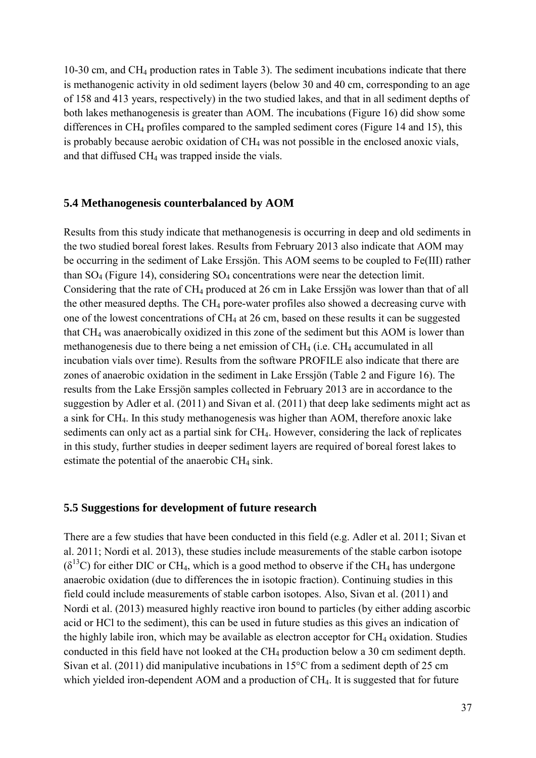10-30 cm, and CH<sup>4</sup> production rates in Table 3). The sediment incubations indicate that there is methanogenic activity in old sediment layers (below 30 and 40 cm, corresponding to an age of 158 and 413 years, respectively) in the two studied lakes, and that in all sediment depths of both lakes methanogenesis is greater than AOM. The incubations (Figure 16) did show some differences in CH<sup>4</sup> profiles compared to the sampled sediment cores (Figure 14 and 15), this is probably because aerobic oxidation of CH<sub>4</sub> was not possible in the enclosed anoxic vials, and that diffused CH<sup>4</sup> was trapped inside the vials.

#### <span id="page-37-0"></span>**5.4 Methanogenesis counterbalanced by AOM**

Results from this study indicate that methanogenesis is occurring in deep and old sediments in the two studied boreal forest lakes. Results from February 2013 also indicate that AOM may be occurring in the sediment of Lake Erssjön. This AOM seems to be coupled to Fe(III) rather than  $SO_4$  (Figure 14), considering  $SO_4$  concentrations were near the detection limit. Considering that the rate of CH<sub>4</sub> produced at 26 cm in Lake Erssjön was lower than that of all the other measured depths. The CH<sub>4</sub> pore-water profiles also showed a decreasing curve with one of the lowest concentrations of CH<sup>4</sup> at 26 cm, based on these results it can be suggested that CH<sup>4</sup> was anaerobically oxidized in this zone of the sediment but this AOM is lower than methanogenesis due to there being a net emission of CH<sub>4</sub> (i.e. CH<sub>4</sub> accumulated in all incubation vials over time). Results from the software PROFILE also indicate that there are zones of anaerobic oxidation in the sediment in Lake Erssjön (Table 2 and Figure 16). The results from the Lake Erssjön samples collected in February 2013 are in accordance to the suggestion by Adler et al. (2011) and Sivan et al. (2011) that deep lake sediments might act as a sink for CH4. In this study methanogenesis was higher than AOM, therefore anoxic lake sediments can only act as a partial sink for CH<sub>4</sub>. However, considering the lack of replicates in this study, further studies in deeper sediment layers are required of boreal forest lakes to estimate the potential of the anaerobic  $CH<sub>4</sub>$  sink.

#### <span id="page-37-1"></span>**5.5 Suggestions for development of future research**

There are a few studies that have been conducted in this field (e.g. Adler et al. 2011; Sivan et al. 2011; Nordi et al. 2013), these studies include measurements of the stable carbon isotope  $(\delta^{13}C)$  for either DIC or CH<sub>4</sub>, which is a good method to observe if the CH<sub>4</sub> has undergone anaerobic oxidation (due to differences the in isotopic fraction). Continuing studies in this field could include measurements of stable carbon isotopes. Also, Sivan et al. (2011) and Nordi et al. (2013) measured highly reactive iron bound to particles (by either adding ascorbic acid or HCl to the sediment), this can be used in future studies as this gives an indication of the highly labile iron, which may be available as electron acceptor for  $CH<sub>4</sub>$  oxidation. Studies conducted in this field have not looked at the CH<sub>4</sub> production below a 30 cm sediment depth. Sivan et al. (2011) did manipulative incubations in 15°C from a sediment depth of 25 cm which yielded iron-dependent AOM and a production of CH<sub>4</sub>. It is suggested that for future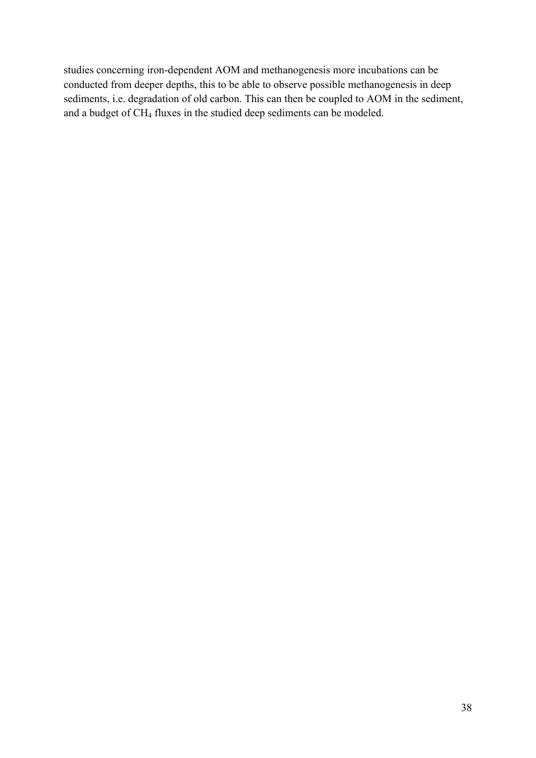studies concerning iron-dependent AOM and methanogenesis more incubations can be conducted from deeper depths, this to be able to observe possible methanogenesis in deep sediments, i.e. degradation of old carbon. This can then be coupled to AOM in the sediment, and a budget of CH<sup>4</sup> fluxes in the studied deep sediments can be modeled.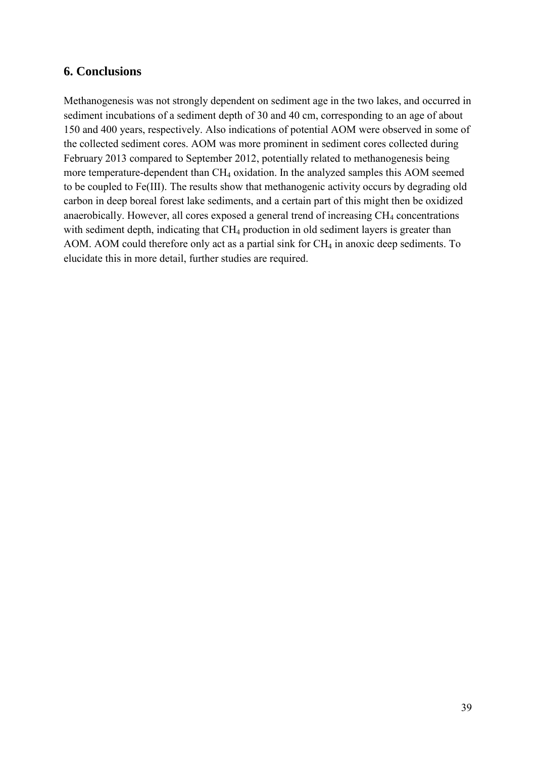# <span id="page-39-0"></span>**6. Conclusions**

Methanogenesis was not strongly dependent on sediment age in the two lakes, and occurred in sediment incubations of a sediment depth of 30 and 40 cm, corresponding to an age of about 150 and 400 years, respectively. Also indications of potential AOM were observed in some of the collected sediment cores. AOM was more prominent in sediment cores collected during February 2013 compared to September 2012, potentially related to methanogenesis being more temperature-dependent than CH<sup>4</sup> oxidation. In the analyzed samples this AOM seemed to be coupled to Fe(III). The results show that methanogenic activity occurs by degrading old carbon in deep boreal forest lake sediments, and a certain part of this might then be oxidized anaerobically. However, all cores exposed a general trend of increasing CH<sub>4</sub> concentrations with sediment depth, indicating that CH<sub>4</sub> production in old sediment layers is greater than AOM. AOM could therefore only act as a partial sink for  $CH_4$  in anoxic deep sediments. To elucidate this in more detail, further studies are required.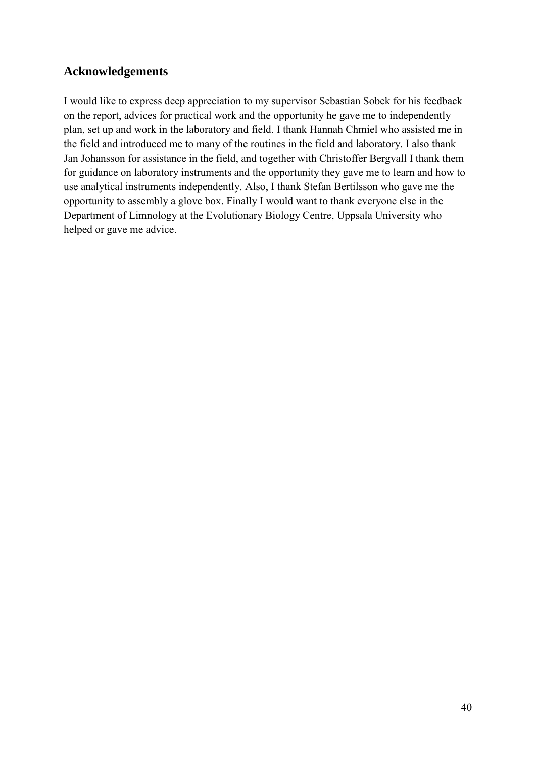# <span id="page-40-0"></span>**Acknowledgements**

I would like to express deep appreciation to my supervisor Sebastian Sobek for his feedback on the report, advices for practical work and the opportunity he gave me to independently plan, set up and work in the laboratory and field. I thank Hannah Chmiel who assisted me in the field and introduced me to many of the routines in the field and laboratory. I also thank Jan Johansson for assistance in the field, and together with Christoffer Bergvall I thank them for guidance on laboratory instruments and the opportunity they gave me to learn and how to use analytical instruments independently. Also, I thank Stefan Bertilsson who gave me the opportunity to assembly a glove box. Finally I would want to thank everyone else in the Department of Limnology at the Evolutionary Biology Centre, Uppsala University who helped or gave me advice.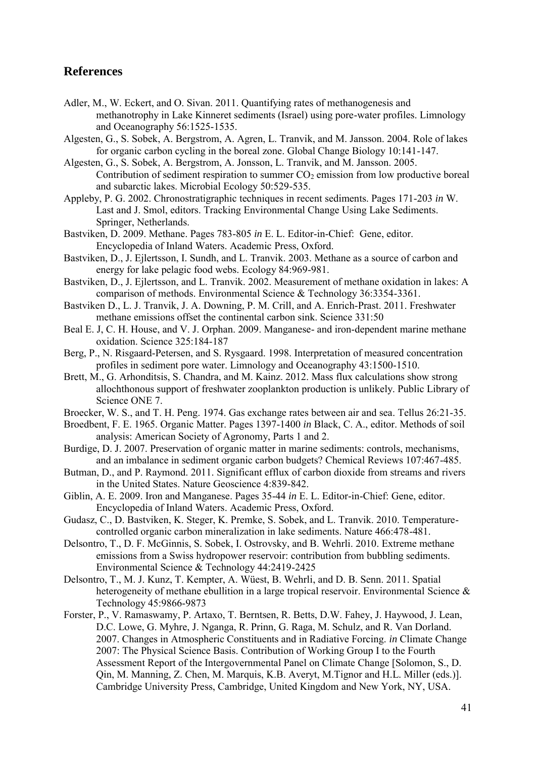# <span id="page-41-0"></span>**References**

- Adler, M., W. Eckert, and O. Sivan. 2011. Quantifying rates of methanogenesis and methanotrophy in Lake Kinneret sediments (Israel) using pore-water profiles. Limnology and Oceanography 56:1525-1535.
- Algesten, G., S. Sobek, A. Bergstrom, A. Agren, L. Tranvik, and M. Jansson. 2004. Role of lakes for organic carbon cycling in the boreal zone. Global Change Biology 10:141-147.
- Algesten, G., S. Sobek, A. Bergstrom, A. Jonsson, L. Tranvik, and M. Jansson. 2005. Contribution of sediment respiration to summer  $CO<sub>2</sub>$  emission from low productive boreal and subarctic lakes. Microbial Ecology 50:529-535.
- Appleby, P. G. 2002. Chronostratigraphic techniques in recent sediments. Pages 171-203 *in* W. Last and J. Smol, editors. Tracking Environmental Change Using Lake Sediments. Springer, Netherlands.
- Bastviken, D. 2009. Methane. Pages 783-805 *in* E. L. Editor-in-Chief: Gene, editor. Encyclopedia of Inland Waters. Academic Press, Oxford.
- Bastviken, D., J. Ejlertsson, I. Sundh, and L. Tranvik. 2003. Methane as a source of carbon and energy for lake pelagic food webs. Ecology 84:969-981.
- Bastviken, D., J. Ejlertsson, and L. Tranvik. 2002. Measurement of methane oxidation in lakes: A comparison of methods. Environmental Science & Technology 36:3354-3361.
- Bastviken D., L. J. Tranvik, J. A. Downing, P. M. Crill, and A. Enrich-Prast. 2011. Freshwater methane emissions offset the continental carbon sink. Science 331:50
- Beal E. J, C. H. House, and V. J. Orphan. 2009. Manganese- and iron-dependent marine methane oxidation. Science 325:184-187
- Berg, P., N. Risgaard-Petersen, and S. Rysgaard. 1998. Interpretation of measured concentration profiles in sediment pore water. Limnology and Oceanography 43:1500-1510.
- Brett, M., G. Arhonditsis, S. Chandra, and M. Kainz. 2012. Mass flux calculations show strong allochthonous support of freshwater zooplankton production is unlikely. Public Library of Science ONE 7.
- Broecker, W. S., and T. H. Peng. 1974. Gas exchange rates between air and sea. Tellus 26:21-35.
- Broedbent, F. E. 1965. Organic Matter. Pages 1397-1400 *in* Black, C. A., editor. Methods of soil analysis: American Society of Agronomy, Parts 1 and 2.
- Burdige, D. J. 2007. Preservation of organic matter in marine sediments: controls, mechanisms, and an imbalance in sediment organic carbon budgets? Chemical Reviews 107:467-485.
- Butman, D., and P. Raymond. 2011. Significant efflux of carbon dioxide from streams and rivers in the United States. Nature Geoscience 4:839-842.
- Giblin, A. E. 2009. Iron and Manganese. Pages 35-44 *in* E. L. Editor-in-Chief: Gene, editor. Encyclopedia of Inland Waters. Academic Press, Oxford.
- Gudasz, C., D. Bastviken, K. Steger, K. Premke, S. Sobek, and L. Tranvik. 2010. Temperaturecontrolled organic carbon mineralization in lake sediments. Nature 466:478-481.
- Delsontro, T., D. F. McGinnis, S. Sobek, I. Ostrovsky, and B. Wehrli. 2010. Extreme methane emissions from a Swiss hydropower reservoir: contribution from bubbling sediments. Environmental Science & Technology 44:2419-2425
- Delsontro, T., M. J. Kunz, T. Kempter, A. Wüest, B. Wehrli, and D. B. Senn. 2011. Spatial heterogeneity of methane ebullition in a large tropical reservoir. Environmental Science & Technology 45:9866-9873
- Forster, P., V. Ramaswamy, P. Artaxo, T. Berntsen, R. Betts, D.W. Fahey, J. Haywood, J. Lean, D.C. Lowe, G. Myhre, J. Nganga, R. Prinn, G. Raga, M. Schulz, and R. Van Dorland. 2007. Changes in Atmospheric Constituents and in Radiative Forcing. *in* Climate Change 2007: The Physical Science Basis. Contribution of Working Group I to the Fourth Assessment Report of the Intergovernmental Panel on Climate Change [Solomon, S., D. Qin, M. Manning, Z. Chen, M. Marquis, K.B. Averyt, M.Tignor and H.L. Miller (eds.)]. Cambridge University Press, Cambridge, United Kingdom and New York, NY, USA.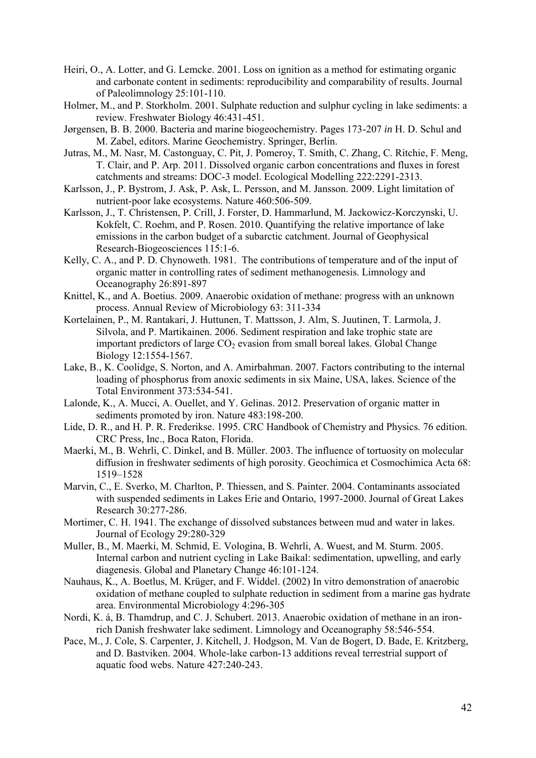- Heiri, O., A. Lotter, and G. Lemcke. 2001. Loss on ignition as a method for estimating organic and carbonate content in sediments: reproducibility and comparability of results. Journal of Paleolimnology 25:101-110.
- Holmer, M., and P. Storkholm. 2001. Sulphate reduction and sulphur cycling in lake sediments: a review. Freshwater Biology 46:431-451.
- Jørgensen, B. B. 2000. Bacteria and marine biogeochemistry. Pages 173-207 *in* H. D. Schul and M. Zabel, editors. Marine Geochemistry. Springer, Berlin.
- Jutras, M., M. Nasr, M. Castonguay, C. Pit, J. Pomeroy, T. Smith, C. Zhang, C. Ritchie, F. Meng, T. Clair, and P. Arp. 2011. Dissolved organic carbon concentrations and fluxes in forest catchments and streams: DOC-3 model. Ecological Modelling 222:2291-2313.
- Karlsson, J., P. Bystrom, J. Ask, P. Ask, L. Persson, and M. Jansson. 2009. Light limitation of nutrient-poor lake ecosystems. Nature 460:506-509.
- Karlsson, J., T. Christensen, P. Crill, J. Forster, D. Hammarlund, M. Jackowicz-Korczynski, U. Kokfelt, C. Roehm, and P. Rosen. 2010. Quantifying the relative importance of lake emissions in the carbon budget of a subarctic catchment. Journal of Geophysical Research-Biogeosciences 115:1-6.
- Kelly, C. A., and P. D. Chynoweth. 1981. The contributions of temperature and of the input of organic matter in controlling rates of sediment methanogenesis. Limnology and Oceanography 26:891-897
- Knittel, K., and A. Boetius. 2009. Anaerobic oxidation of methane: progress with an unknown process. Annual Review of Microbiology 63: 311-334
- Kortelainen, P., M. Rantakari, J. Huttunen, T. Mattsson, J. Alm, S. Juutinen, T. Larmola, J. Silvola, and P. Martikainen. 2006. Sediment respiration and lake trophic state are important predictors of large  $CO<sub>2</sub>$  evasion from small boreal lakes. Global Change Biology 12:1554-1567.
- Lake, B., K. Coolidge, S. Norton, and A. Amirbahman. 2007. Factors contributing to the internal loading of phosphorus from anoxic sediments in six Maine, USA, lakes. Science of the Total Environment 373:534-541.
- Lalonde, K., A. Mucci, A. Ouellet, and Y. Gelinas. 2012. Preservation of organic matter in sediments promoted by iron. Nature 483:198-200.
- Lide, D. R., and H. P. R. Frederikse. 1995. CRC Handbook of Chemistry and Physics. 76 edition. CRC Press, Inc., Boca Raton, Florida.
- Maerki, M., B. Wehrli, C. Dinkel, and B. Müller. 2003. The influence of tortuosity on molecular diffusion in freshwater sediments of high porosity. Geochimica et Cosmochimica Acta 68: 1519–1528
- Marvin, C., E. Sverko, M. Charlton, P. Thiessen, and S. Painter. 2004. Contaminants associated with suspended sediments in Lakes Erie and Ontario, 1997-2000. Journal of Great Lakes Research 30:277-286.
- Mortimer, C. H. 1941. The exchange of dissolved substances between mud and water in lakes. Journal of Ecology 29:280-329
- Muller, B., M. Maerki, M. Schmid, E. Vologina, B. Wehrli, A. Wuest, and M. Sturm. 2005. Internal carbon and nutrient cycling in Lake Baikal: sedimentation, upwelling, and early diagenesis. Global and Planetary Change 46:101-124.
- Nauhaus, K., A. Boetlus, M. Krüger, and F. Widdel. (2002) In vitro demonstration of anaerobic oxidation of methane coupled to sulphate reduction in sediment from a marine gas hydrate area. Environmental Microbiology 4:296-305
- Nordi, K. á, B. Thamdrup, and C. J. Schubert. 2013. Anaerobic oxidation of methane in an ironrich Danish freshwater lake sediment. Limnology and Oceanography 58:546-554.
- Pace, M., J. Cole, S. Carpenter, J. Kitchell, J. Hodgson, M. Van de Bogert, D. Bade, E. Kritzberg, and D. Bastviken. 2004. Whole-lake carbon-13 additions reveal terrestrial support of aquatic food webs. Nature 427:240-243.